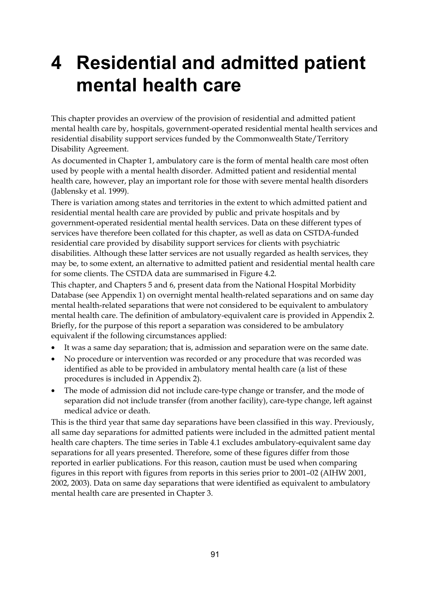# **4 Residential and admitted patient mental health care**

This chapter provides an overview of the provision of residential and admitted patient mental health care by, hospitals, government-operated residential mental health services and residential disability support services funded by the Commonwealth State/Territory Disability Agreement.

As documented in Chapter 1, ambulatory care is the form of mental health care most often used by people with a mental health disorder. Admitted patient and residential mental health care, however, play an important role for those with severe mental health disorders (Jablensky et al. 1999).

There is variation among states and territories in the extent to which admitted patient and residential mental health care are provided by public and private hospitals and by government-operated residential mental health services. Data on these different types of services have therefore been collated for this chapter, as well as data on CSTDA-funded residential care provided by disability support services for clients with psychiatric disabilities. Although these latter services are not usually regarded as health services, they may be, to some extent, an alternative to admitted patient and residential mental health care for some clients. The CSTDA data are summarised in Figure 4.2.

This chapter, and Chapters 5 and 6, present data from the National Hospital Morbidity Database (see Appendix 1) on overnight mental health-related separations and on same day mental health-related separations that were not considered to be equivalent to ambulatory mental health care. The definition of ambulatory-equivalent care is provided in Appendix 2. Briefly, for the purpose of this report a separation was considered to be ambulatory equivalent if the following circumstances applied:

- It was a same day separation; that is, admission and separation were on the same date.
- No procedure or intervention was recorded or any procedure that was recorded was identified as able to be provided in ambulatory mental health care (a list of these procedures is included in Appendix 2).
- The mode of admission did not include care-type change or transfer, and the mode of separation did not include transfer (from another facility), care-type change, left against medical advice or death.

This is the third year that same day separations have been classified in this way. Previously, all same day separations for admitted patients were included in the admitted patient mental health care chapters. The time series in Table 4.1 excludes ambulatory-equivalent same day separations for all years presented. Therefore, some of these figures differ from those reported in earlier publications. For this reason, caution must be used when comparing figures in this report with figures from reports in this series prior to 2001–02 (AIHW 2001, 2002, 2003). Data on same day separations that were identified as equivalent to ambulatory mental health care are presented in Chapter 3.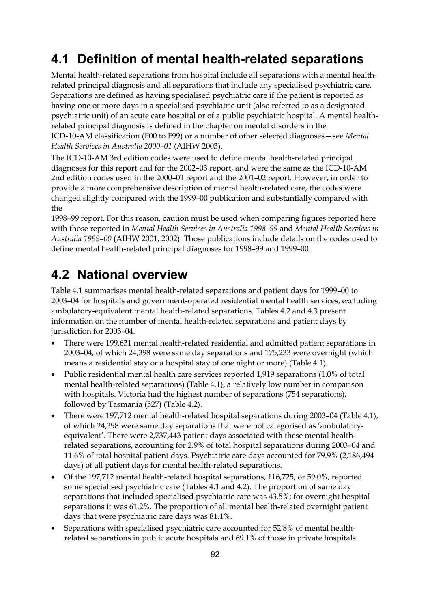# **4.1 Definition of mental health-related separations**

Mental health-related separations from hospital include all separations with a mental healthrelated principal diagnosis and all separations that include any specialised psychiatric care. Separations are defined as having specialised psychiatric care if the patient is reported as having one or more days in a specialised psychiatric unit (also referred to as a designated psychiatric unit) of an acute care hospital or of a public psychiatric hospital. A mental healthrelated principal diagnosis is defined in the chapter on mental disorders in the ICD-10-AM classification (F00 to F99) or a number of other selected diagnoses—see *Mental Health Services in Australia 2000–01* (AIHW 2003).

The ICD-10-AM 3rd edition codes were used to define mental health-related principal diagnoses for this report and for the 2002–03 report, and were the same as the ICD-10-AM 2nd edition codes used in the 2000–01 report and the 2001–02 report. However, in order to provide a more comprehensive description of mental health-related care, the codes were changed slightly compared with the 1999–00 publication and substantially compared with the

1998–99 report. For this reason, caution must be used when comparing figures reported here with those reported in *Mental Health Services in Australia 1998–99* and *Mental Health Services in Australia 1999–00* (AIHW 2001, 2002). Those publications include details on the codes used to define mental health-related principal diagnoses for 1998–99 and 1999–00.

## **4.2 National overview**

Table 4.1 summarises mental health-related separations and patient days for 1999–00 to 2003–04 for hospitals and government-operated residential mental health services, excluding ambulatory-equivalent mental health-related separations. Tables 4.2 and 4.3 present information on the number of mental health-related separations and patient days by jurisdiction for 2003–04.

- There were 199,631 mental health-related residential and admitted patient separations in 2003–04, of which 24,398 were same day separations and 175,233 were overnight (which means a residential stay or a hospital stay of one night or more) (Table 4.1).
- Public residential mental health care services reported 1,919 separations (1.0% of total mental health-related separations) (Table 4.1), a relatively low number in comparison with hospitals. Victoria had the highest number of separations (754 separations), followed by Tasmania (527) (Table 4.2).
- There were 197,712 mental health-related hospital separations during 2003–04 (Table 4.1), of which 24,398 were same day separations that were not categorised as 'ambulatoryequivalent'. There were 2,737,443 patient days associated with these mental healthrelated separations, accounting for 2.9% of total hospital separations during 2003–04 and 11.6% of total hospital patient days. Psychiatric care days accounted for 79.9% (2,186,494 days) of all patient days for mental health-related separations.
- Of the 197,712 mental health-related hospital separations, 116,725, or 59.0%, reported some specialised psychiatric care (Tables 4.1 and 4.2). The proportion of same day separations that included specialised psychiatric care was 43.5%; for overnight hospital separations it was 61.2%. The proportion of all mental health-related overnight patient days that were psychiatric care days was 81.1%.
- Separations with specialised psychiatric care accounted for 52.8% of mental healthrelated separations in public acute hospitals and 69.1% of those in private hospitals.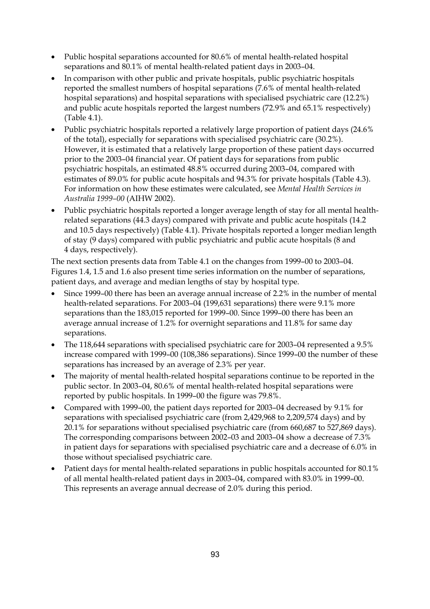- Public hospital separations accounted for 80.6% of mental health-related hospital separations and 80.1% of mental health-related patient days in 2003–04.
- In comparison with other public and private hospitals, public psychiatric hospitals reported the smallest numbers of hospital separations (7.6% of mental health-related hospital separations) and hospital separations with specialised psychiatric care (12.2%) and public acute hospitals reported the largest numbers (72.9% and 65.1% respectively) (Table 4.1).
- Public psychiatric hospitals reported a relatively large proportion of patient days (24.6% of the total), especially for separations with specialised psychiatric care (30.2%). However, it is estimated that a relatively large proportion of these patient days occurred prior to the 2003–04 financial year. Of patient days for separations from public psychiatric hospitals, an estimated 48.8% occurred during 2003–04, compared with estimates of 89.0% for public acute hospitals and 94.3% for private hospitals (Table 4.3). For information on how these estimates were calculated, see *Mental Health Services in Australia 1999–00* (AIHW 2002).
- Public psychiatric hospitals reported a longer average length of stay for all mental healthrelated separations (44.3 days) compared with private and public acute hospitals (14.2 and 10.5 days respectively) (Table 4.1). Private hospitals reported a longer median length of stay (9 days) compared with public psychiatric and public acute hospitals (8 and 4 days, respectively).

The next section presents data from Table 4.1 on the changes from 1999–00 to 2003–04. Figures 1.4, 1.5 and 1.6 also present time series information on the number of separations, patient days, and average and median lengths of stay by hospital type.

- Since 1999–00 there has been an average annual increase of 2.2% in the number of mental health-related separations. For 2003–04 (199,631 separations) there were 9.1% more separations than the 183,015 reported for 1999–00. Since 1999–00 there has been an average annual increase of 1.2% for overnight separations and 11.8% for same day separations.
- The 118,644 separations with specialised psychiatric care for 2003–04 represented a 9.5% increase compared with 1999–00 (108,386 separations). Since 1999–00 the number of these separations has increased by an average of 2.3% per year.
- The majority of mental health-related hospital separations continue to be reported in the public sector. In 2003–04, 80.6% of mental health-related hospital separations were reported by public hospitals. In 1999–00 the figure was 79.8%.
- Compared with 1999–00, the patient days reported for 2003–04 decreased by 9.1% for separations with specialised psychiatric care (from 2,429,968 to 2,209,574 days) and by 20.1% for separations without specialised psychiatric care (from 660,687 to 527,869 days). The corresponding comparisons between 2002–03 and 2003–04 show a decrease of 7.3% in patient days for separations with specialised psychiatric care and a decrease of 6.0% in those without specialised psychiatric care.
- Patient days for mental health-related separations in public hospitals accounted for 80.1% of all mental health-related patient days in 2003–04, compared with 83.0% in 1999–00. This represents an average annual decrease of 2.0% during this period.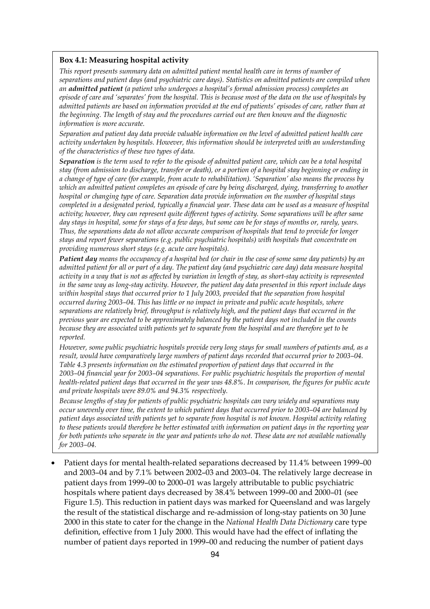#### **Box 4.1: Measuring hospital activity**

*This report presents summary data on admitted patient mental health care in terms of number of separations and patient days (and psychiatric care days). Statistics on admitted patients are compiled when an admitted patient (a patient who undergoes a hospital's formal admission process) completes an episode of care and 'separates' from the hospital. This is because most of the data on the use of hospitals by admitted patients are based on information provided at the end of patients' episodes of care, rather than at the beginning. The length of stay and the procedures carried out are then known and the diagnostic information is more accurate.* 

*Separation and patient day data provide valuable information on the level of admitted patient health care activity undertaken by hospitals. However, this information should be interpreted with an understanding of the characteristics of these two types of data.* 

*Separation is the term used to refer to the episode of admitted patient care, which can be a total hospital stay (from admission to discharge, transfer or death), or a portion of a hospital stay beginning or ending in a change of type of care (for example, from acute to rehabilitation). 'Separation' also means the process by which an admitted patient completes an episode of care by being discharged, dying, transferring to another hospital or changing type of care. Separation data provide information on the number of hospital stays completed in a designated period, typically a financial year. These data can be used as a measure of hospital activity; however, they can represent quite different types of activity. Some separations will be after same day stays in hospital, some for stays of a few days, but some can be for stays of months or, rarely, years. Thus, the separations data do not allow accurate comparison of hospitals that tend to provide for longer stays and report fewer separations (e.g. public psychiatric hospitals) with hospitals that concentrate on providing numerous short stays (e.g. acute care hospitals).* 

*Patient day means the occupancy of a hospital bed (or chair in the case of some same day patients) by an admitted patient for all or part of a day. The patient day (and psychiatric care day) data measure hospital activity in a way that is not as affected by variation in length of stay, as short-stay activity is represented in the same way as long-stay activity. However, the patient day data presented in this report include days within hospital stays that occurred prior to 1 July 2003, provided that the separation from hospital occurred during 2003–04. This has little or no impact in private and public acute hospitals, where separations are relatively brief, throughput is relatively high, and the patient days that occurred in the previous year are expected to be approximately balanced by the patient days not included in the counts because they are associated with patients yet to separate from the hospital and are therefore yet to be reported.* 

*However, some public psychiatric hospitals provide very long stays for small numbers of patients and, as a result, would have comparatively large numbers of patient days recorded that occurred prior to 2003–04. Table 4.3 presents information on the estimated proportion of patient days that occurred in the 2003–04 financial year for 2003–04 separations. For public psychiatric hospitals the proportion of mental health-related patient days that occurred in the year was 48.8%. In comparison, the figures for public acute and private hospitals were 89.0% and 94.3% respectively.* 

*Because lengths of stay for patients of public psychiatric hospitals can vary widely and separations may occur unevenly over time, the extent to which patient days that occurred prior to 2003–04 are balanced by patient days associated with patients yet to separate from hospital is not known. Hospital activity relating to these patients would therefore be better estimated with information on patient days in the reporting year for both patients who separate in the year and patients who do not. These data are not available nationally for 2003–04.* 

• Patient days for mental health-related separations decreased by 11.4% between 1999–00 and 2003–04 and by 7.1% between 2002–03 and 2003–04. The relatively large decrease in patient days from 1999–00 to 2000–01 was largely attributable to public psychiatric hospitals where patient days decreased by 38.4% between 1999–00 and 2000–01 (see Figure 1.5). This reduction in patient days was marked for Queensland and was largely the result of the statistical discharge and re-admission of long-stay patients on 30 June 2000 in this state to cater for the change in the *National Health Data Dictionary* care type definition, effective from 1 July 2000. This would have had the effect of inflating the number of patient days reported in 1999–00 and reducing the number of patient days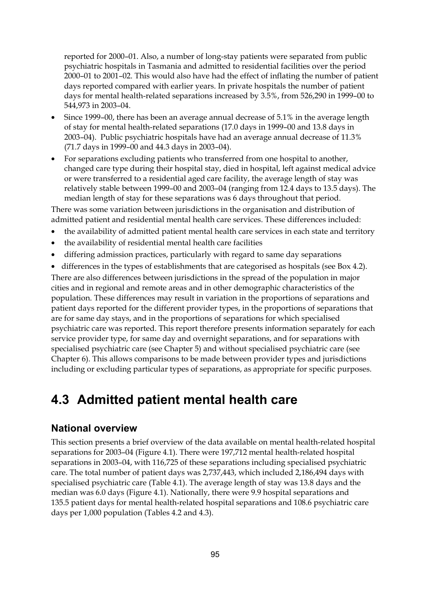reported for 2000–01. Also, a number of long-stay patients were separated from public psychiatric hospitals in Tasmania and admitted to residential facilities over the period 2000–01 to 2001–02. This would also have had the effect of inflating the number of patient days reported compared with earlier years. In private hospitals the number of patient days for mental health-related separations increased by 3.5%, from 526,290 in 1999–00 to 544,973 in 2003–04.

- Since 1999–00, there has been an average annual decrease of 5.1% in the average length of stay for mental health-related separations (17.0 days in 1999–00 and 13.8 days in 2003–04). Public psychiatric hospitals have had an average annual decrease of 11.3% (71.7 days in 1999–00 and 44.3 days in 2003–04).
- For separations excluding patients who transferred from one hospital to another, changed care type during their hospital stay, died in hospital, left against medical advice or were transferred to a residential aged care facility, the average length of stay was relatively stable between 1999–00 and 2003–04 (ranging from 12.4 days to 13.5 days). The median length of stay for these separations was 6 days throughout that period.

There was some variation between jurisdictions in the organisation and distribution of admitted patient and residential mental health care services. These differences included:

- the availability of admitted patient mental health care services in each state and territory
- the availability of residential mental health care facilities
- differing admission practices, particularly with regard to same day separations
- differences in the types of establishments that are categorised as hospitals (see Box 4.2).

There are also differences between jurisdictions in the spread of the population in major cities and in regional and remote areas and in other demographic characteristics of the population. These differences may result in variation in the proportions of separations and patient days reported for the different provider types, in the proportions of separations that are for same day stays, and in the proportions of separations for which specialised psychiatric care was reported. This report therefore presents information separately for each service provider type, for same day and overnight separations, and for separations with specialised psychiatric care (see Chapter 5) and without specialised psychiatric care (see Chapter 6). This allows comparisons to be made between provider types and jurisdictions including or excluding particular types of separations, as appropriate for specific purposes.

### **4.3 Admitted patient mental health care**

### **National overview**

This section presents a brief overview of the data available on mental health-related hospital separations for 2003–04 (Figure 4.1). There were 197,712 mental health-related hospital separations in 2003–04, with 116,725 of these separations including specialised psychiatric care. The total number of patient days was 2,737,443, which included 2,186,494 days with specialised psychiatric care (Table 4.1). The average length of stay was 13.8 days and the median was 6.0 days (Figure 4.1). Nationally, there were 9.9 hospital separations and 135.5 patient days for mental health-related hospital separations and 108.6 psychiatric care days per 1,000 population (Tables 4.2 and 4.3).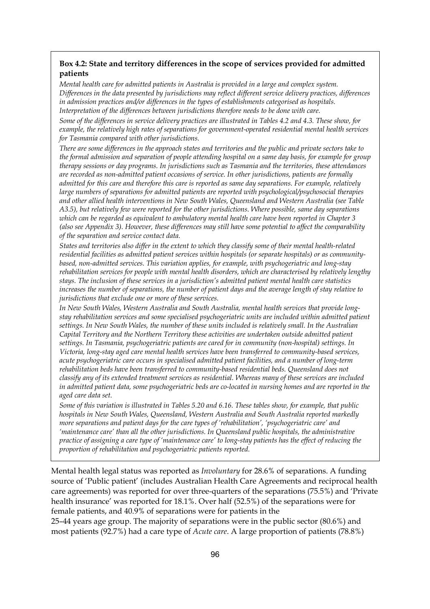### **Box 4.2: State and territory differences in the scope of services provided for admitted patients**

*Mental health care for admitted patients in Australia is provided in a large and complex system. Differences in the data presented by jurisdictions may reflect different service delivery practices, differences in admission practices and/or differences in the types of establishments categorised as hospitals. Interpretation of the differences between jurisdictions therefore needs to be done with care.* 

*Some of the differences in service delivery practices are illustrated in Tables 4.2 and 4.3. These show, for example, the relatively high rates of separations for government-operated residential mental health services for Tasmania compared with other jurisdictions.* 

*There are some differences in the approach states and territories and the public and private sectors take to the formal admission and separation of people attending hospital on a same day basis, for example for group therapy sessions or day programs. In jurisdictions such as Tasmania and the territories, these attendances are recorded as non-admitted patient occasions of service. In other jurisdictions, patients are formally admitted for this care and therefore this care is reported as same day separations. For example, relatively large numbers of separations for admitted patients are reported with psychological/psychosocial therapies and other allied health interventions in New South Wales, Queensland and Western Australia (see Table A3.5), but relatively few were reported for the other jurisdictions. Where possible, same day separations which can be regarded as equivalent to ambulatory mental health care have been reported in Chapter 3 (also see Appendix 3). However, these differences may still have some potential to affect the comparability of the separation and service contact data.* 

*States and territories also differ in the extent to which they classify some of their mental health-related residential facilities as admitted patient services within hospitals (or separate hospitals) or as communitybased, non-admitted services. This variation applies, for example, with psychogeriatric and long-stay rehabilitation services for people with mental health disorders, which are characterised by relatively lengthy stays. The inclusion of these services in a jurisdiction's admitted patient mental health care statistics increases the number of separations, the number of patient days and the average length of stay relative to jurisdictions that exclude one or more of these services.* 

*In New South Wales, Western Australia and South Australia, mental health services that provide longstay rehabilitation services and some specialised psychogeriatric units are included within admitted patient settings. In New South Wales, the number of these units included is relatively small. In the Australian Capital Territory and the Northern Territory these activities are undertaken outside admitted patient settings. In Tasmania, psychogeriatric patients are cared for in community (non-hospital) settings. In Victoria, long-stay aged care mental health services have been transferred to community-based services, acute psychogeriatric care occurs in specialised admitted patient facilities, and a number of long-term rehabilitation beds have been transferred to community-based residential beds. Queensland does not classify any of its extended treatment services as residential. Whereas many of these services are included in admitted patient data, some psychogeriatric beds are co-located in nursing homes and are reported in the aged care data set.* 

*Some of this variation is illustrated in Tables 5.20 and 6.16. These tables show, for example, that public hospitals in New South Wales, Queensland, Western Australia and South Australia reported markedly more separations and patient days for the care types of 'rehabilitation', 'psychogeriatric care' and 'maintenance care' than all the other jurisdictions. In Queensland public hospitals, the administrative practice of assigning a care type of 'maintenance care' to long-stay patients has the effect of reducing the proportion of rehabilitation and psychogeriatric patients reported.* 

Mental health legal status was reported as *Involuntary* for 28.6% of separations. A funding source of 'Public patient' (includes Australian Health Care Agreements and reciprocal health care agreements) was reported for over three-quarters of the separations (75.5%) and 'Private health insurance' was reported for 18.1%. Over half (52.5%) of the separations were for female patients, and 40.9% of separations were for patients in the

25–44 years age group. The majority of separations were in the public sector (80.6%) and most patients (92.7%) had a care type of *Acute care*. A large proportion of patients (78.8%)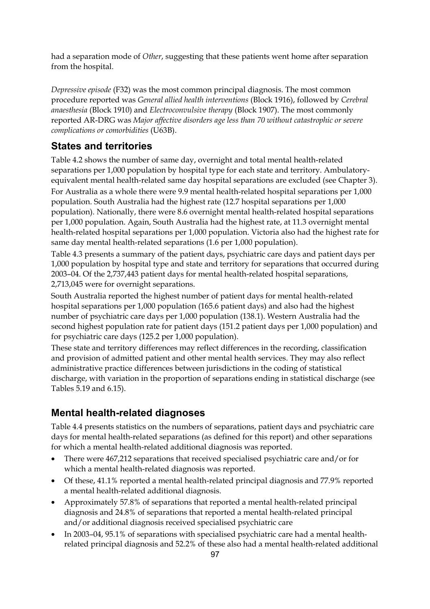had a separation mode of *Other*, suggesting that these patients went home after separation from the hospital.

*Depressive episode* (F32) was the most common principal diagnosis. The most common procedure reported was *General allied health interventions* (Block 1916), followed by *Cerebral anaesthesia* (Block 1910) and *Electroconvulsive therapy* (Block 1907). The most commonly reported AR-DRG was *Major affective disorders age less than 70 without catastrophic or severe complications or comorbidities* (U63B).

### **States and territories**

Table 4.2 shows the number of same day, overnight and total mental health-related separations per 1,000 population by hospital type for each state and territory. Ambulatoryequivalent mental health-related same day hospital separations are excluded (see Chapter 3).

For Australia as a whole there were 9.9 mental health-related hospital separations per 1,000 population. South Australia had the highest rate (12.7 hospital separations per 1,000 population). Nationally, there were 8.6 overnight mental health-related hospital separations per 1,000 population. Again, South Australia had the highest rate, at 11.3 overnight mental health-related hospital separations per 1,000 population. Victoria also had the highest rate for same day mental health-related separations (1.6 per 1,000 population).

Table 4.3 presents a summary of the patient days, psychiatric care days and patient days per 1,000 population by hospital type and state and territory for separations that occurred during 2003–04. Of the 2,737,443 patient days for mental health-related hospital separations, 2,713,045 were for overnight separations.

South Australia reported the highest number of patient days for mental health-related hospital separations per 1,000 population (165.6 patient days) and also had the highest number of psychiatric care days per 1,000 population (138.1). Western Australia had the second highest population rate for patient days (151.2 patient days per 1,000 population) and for psychiatric care days (125.2 per 1,000 population).

These state and territory differences may reflect differences in the recording, classification and provision of admitted patient and other mental health services. They may also reflect administrative practice differences between jurisdictions in the coding of statistical discharge, with variation in the proportion of separations ending in statistical discharge (see Tables 5.19 and 6.15).

### **Mental health-related diagnoses**

Table 4.4 presents statistics on the numbers of separations, patient days and psychiatric care days for mental health-related separations (as defined for this report) and other separations for which a mental health-related additional diagnosis was reported.

- There were 467,212 separations that received specialised psychiatric care and/or for which a mental health-related diagnosis was reported.
- Of these, 41.1% reported a mental health-related principal diagnosis and 77.9% reported a mental health-related additional diagnosis.
- Approximately 57.8% of separations that reported a mental health-related principal diagnosis and 24.8% of separations that reported a mental health-related principal and/or additional diagnosis received specialised psychiatric care
- In 2003–04, 95.1% of separations with specialised psychiatric care had a mental healthrelated principal diagnosis and 52.2% of these also had a mental health-related additional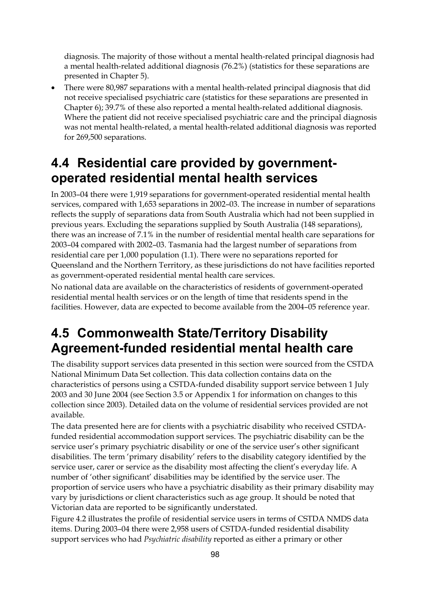diagnosis. The majority of those without a mental health-related principal diagnosis had a mental health-related additional diagnosis (76.2%) (statistics for these separations are presented in Chapter 5).

• There were 80,987 separations with a mental health-related principal diagnosis that did not receive specialised psychiatric care (statistics for these separations are presented in Chapter 6); 39.7% of these also reported a mental health-related additional diagnosis. Where the patient did not receive specialised psychiatric care and the principal diagnosis was not mental health-related, a mental health-related additional diagnosis was reported for 269,500 separations.

# **4.4 Residential care provided by governmentoperated residential mental health services**

In 2003–04 there were 1,919 separations for government-operated residential mental health services, compared with 1,653 separations in 2002–03. The increase in number of separations reflects the supply of separations data from South Australia which had not been supplied in previous years. Excluding the separations supplied by South Australia (148 separations), there was an increase of 7.1% in the number of residential mental health care separations for 2003–04 compared with 2002–03. Tasmania had the largest number of separations from residential care per 1,000 population (1.1). There were no separations reported for Queensland and the Northern Territory, as these jurisdictions do not have facilities reported as government-operated residential mental health care services.

No national data are available on the characteristics of residents of government-operated residential mental health services or on the length of time that residents spend in the facilities. However, data are expected to become available from the 2004–05 reference year.

# **4.5 Commonwealth State/Territory Disability Agreement-funded residential mental health care**

The disability support services data presented in this section were sourced from the CSTDA National Minimum Data Set collection. This data collection contains data on the characteristics of persons using a CSTDA-funded disability support service between 1 July 2003 and 30 June 2004 (see Section 3.5 or Appendix 1 for information on changes to this collection since 2003). Detailed data on the volume of residential services provided are not available.

The data presented here are for clients with a psychiatric disability who received CSTDAfunded residential accommodation support services. The psychiatric disability can be the service user's primary psychiatric disability or one of the service user's other significant disabilities. The term 'primary disability' refers to the disability category identified by the service user, carer or service as the disability most affecting the client's everyday life. A number of 'other significant' disabilities may be identified by the service user. The proportion of service users who have a psychiatric disability as their primary disability may vary by jurisdictions or client characteristics such as age group. It should be noted that Victorian data are reported to be significantly understated.

Figure 4.2 illustrates the profile of residential service users in terms of CSTDA NMDS data items. During 2003–04 there were 2,958 users of CSTDA-funded residential disability support services who had *Psychiatric disability* reported as either a primary or other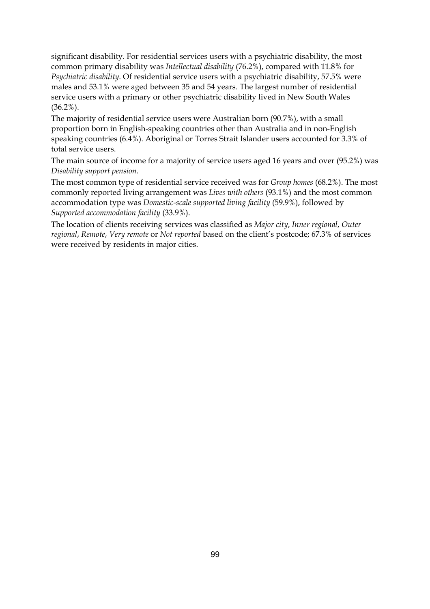significant disability. For residential services users with a psychiatric disability, the most common primary disability was *Intellectual disability* (76.2%), compared with 11.8% for *Psychiatric disability*. Of residential service users with a psychiatric disability, 57.5% were males and 53.1% were aged between 35 and 54 years. The largest number of residential service users with a primary or other psychiatric disability lived in New South Wales (36.2%).

The majority of residential service users were Australian born (90.7%), with a small proportion born in English-speaking countries other than Australia and in non-English speaking countries (6.4%). Aboriginal or Torres Strait Islander users accounted for 3.3% of total service users.

The main source of income for a majority of service users aged 16 years and over (95.2%) was *Disability support pension.* 

The most common type of residential service received was for *Group homes* (68.2%). The most commonly reported living arrangement was *Lives with others* (93.1%) and the most common accommodation type was *Domestic-scale supported living facility* (59.9%), followed by *Supported accommodation facility* (33.9%).

The location of clients receiving services was classified as *Major city*, *Inner regional*, *Outer regional*, *Remote*, *Very remote* or *Not reported* based on the client's postcode; 67.3% of services were received by residents in major cities.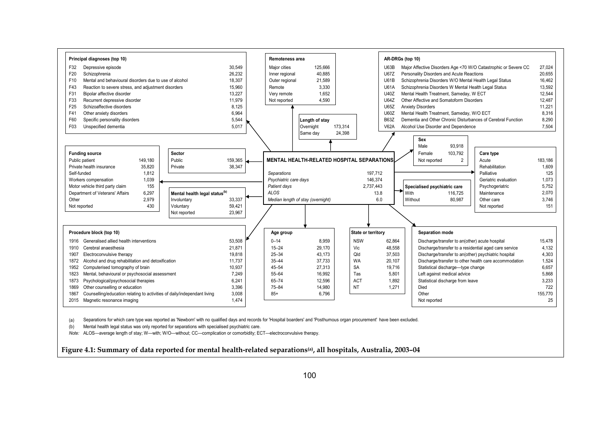

(a) Separations for which care type was reported as 'Newborn' with no qualified days and records for 'Hospital boarders' and 'Posthumous organ procurement' have been excluded.

(b) Mental health legal status was only reported for separations with specialised psychiatric care.

*Note:* ALOS—average length of stay; W—with; W/O—without; CC—complication or comorbidity; ECT—electroconvulsive therapy.

**Figure 4.1: Summary of data reported for mental health-related separations(a), all hospitals, Australia, 2003–04**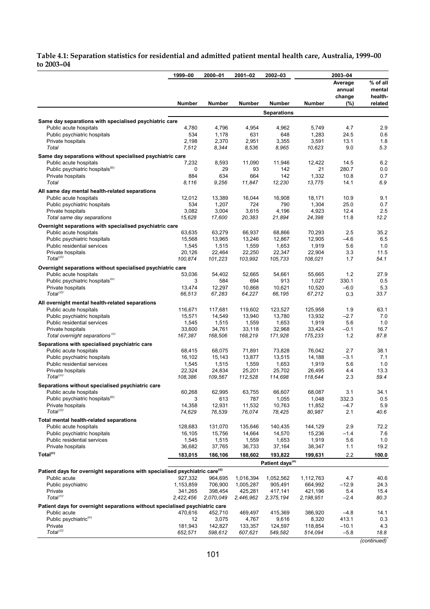#### **Table 4.1: Separation statistics for residential and admitted patient mental health care, Australia, 1999–00 to 2003–04**

|                                                                                         | 1999-00        | 2000-01        | 2001-02        | 2002-03                     |                 | 2003-04       |                    |
|-----------------------------------------------------------------------------------------|----------------|----------------|----------------|-----------------------------|-----------------|---------------|--------------------|
|                                                                                         |                |                |                |                             |                 | Average       | % of all           |
|                                                                                         |                |                |                |                             |                 | annual        | mental             |
|                                                                                         | <b>Number</b>  | Number         | Number         | Number                      | Number          | change<br>(%) | health-<br>related |
|                                                                                         |                |                |                | <b>Separations</b>          |                 |               |                    |
| Same day separations with specialised psychiatric care                                  |                |                |                |                             |                 |               |                    |
| Public acute hospitals                                                                  | 4,780          | 4,796          | 4,954          | 4,962                       | 5,749           | 4.7           | 2.9                |
| Public psychiatric hospitals                                                            | 534            | 1,178          | 631            | 648                         | 1,283           | 24.5          | 0.6                |
| Private hospitals<br>Total                                                              | 2,198<br>7,512 | 2,370<br>8,344 | 2,951<br>8,536 | 3,355<br>8,965              | 3,591<br>10,623 | 13.1<br>9.0   | 1.8<br>5.3         |
| Same day separations without specialised psychiatric care                               |                |                |                |                             |                 |               |                    |
| Public acute hospitals                                                                  | 7,232          | 8,593          | 11,090         | 11,946                      | 12,422          | 14.5          | 6.2                |
| Public psychiatric hospitals <sup>(D)</sup>                                             | 0              | 29             | 93             | 142                         | 21              | 280.7         | 0.0                |
| Private hospitals                                                                       | 884            | 634            | 664            | 142                         | 1,332           | 10.8          | 0.7                |
| Total                                                                                   | 8.116          | 9,256          | 11,847         | 12,230                      | 13,775          | 14.1          | 6.9                |
| All same day mental health-related separations                                          |                |                |                |                             |                 |               |                    |
| Public acute hospitals                                                                  | 12,012         | 13,389         | 16,044         | 16,908                      | 18,171          | 10.9          | 9.1                |
| Public psychiatric hospitals                                                            | 534            | 1,207          | 724            | 790                         | 1,304           | 25.0          | 0.7                |
| Private hospitals                                                                       | 3,082          | 3,004          | 3,615          | 4,196                       | 4,923           | 12.4          | 2.5                |
| Total same day separations                                                              | 15,628         | 17,600         | 20,383         | 21,894                      | 24,398          | 11.8          | 12.2               |
| Overnight separations with specialised psychiatric care                                 |                |                |                |                             |                 |               |                    |
| Public acute hospitals                                                                  | 63,635         | 63,279         | 66,937         | 68,866                      | 70,293          | 2.5           | 35.2               |
| Public psychiatric hospitals                                                            | 15,568         | 13,965         | 13,246         | 12,867                      | 12,905          | $-4.6$        | 6.5                |
| Public residential services                                                             | 1,545          | 1,515          | 1,559          | 1,653                       | 1,919           | 5.6           | 1.0                |
| Private hospitals                                                                       | 20,126         | 22,464         | 22,250         | 22,347                      | 22,904          | 3.3           | 11.5               |
| Total <sup>(c)</sup>                                                                    | 100,874        | 101,223        | 103,992        | 105,733                     | 108,021         | 1.7           | 54.1               |
| Overnight separations without specialised psychiatric care                              |                |                |                |                             |                 |               |                    |
| Public acute hospitals                                                                  | 53,036         | 54,402         | 52,665         | 54,661                      | 55,665          | 1.2           | 27.9               |
| Public psychiatric hospitals <sup>(b)</sup>                                             | 3              | 584            | 694            | 913                         | 1,027           | 330.1         | 0.5                |
| Private hospitals                                                                       | 13,474         | 12,297         | 10,868         | 10,621                      | 10,520          | $-6.0$        | 5.3                |
| Total <sup>(C)</sup>                                                                    | 66,513         | 67,283         | 64,227         | 66,195                      | 67,212          | 0.3           | 33.7               |
| All overnight mental health-related separations                                         |                |                |                |                             |                 |               |                    |
| Public acute hospitals                                                                  | 116,671        | 117,681        | 119,602        | 123,527                     | 125,958         | 1.9           | 63.1               |
| Public psychiatric hospitals                                                            | 15,571         | 14,549         | 13,940         | 13,780                      | 13,932          | $-2.7$        | 7.0                |
| Public residential services                                                             | 1,545          | 1,515          | 1,559          | 1,653                       | 1,919           | 5.6           | 1.0                |
| Private hospitals                                                                       | 33,600         | 34,761         | 33,118         | 32,968                      | 33,424          | $-0.1$        | 16.7               |
| Total overnight separations <sup>(c)</sup>                                              | 167,387        | 168,506        | 168,219        | 171,928                     | 175,233         | 1.2           | 87.8               |
| Separations with specialised psychiatric care                                           |                |                |                |                             |                 |               |                    |
| Public acute hospitals                                                                  | 68,415         | 68,075         | 71,891         | 73,828                      | 76,042          | 2.7           | 38.1               |
| Public psychiatric hospitals                                                            | 16,102         | 15,143         | 13,877         | 13,515                      | 14,188          | $-3.1$        | 7.1                |
| Public residential services                                                             | 1,545          | 1,515          | 1,559          | 1,653                       | 1,919           | 5.6           | 1.0                |
| Private hospitals                                                                       | 22,324         | 24,834         | 25,201         | 25,702                      | 26,495          | 4.4           | 13.3               |
| Total <sup>(C)</sup>                                                                    | 108,386        | 109,567        | 112,528        | 114,698                     | 118,644         | 2.3           | 59.4               |
| Separations without specialised psychiatric care                                        |                |                |                |                             |                 |               |                    |
| Public acute hospitals                                                                  | 60,268         | 62,995         | 63,755         | 66,607                      | 68,087          | 3.1           | 34.1               |
| Public psychiatric hospitals <sup>(D)</sup>                                             | 3              | 613            | 787            | 1,055                       | 1,048           | 332.3         | 0.5                |
| Private hospitals                                                                       | 14,358         | 12,931         | 11,532         | 10,763                      | 11,852          | $-4.7$        | 5.9                |
| Total <sup>(C)</sup>                                                                    | 74,629         | 76,539         | 76,074         | 78,425                      | 80,987          | 2.1           | 40.6               |
| Total mental health-related separations                                                 |                |                |                |                             |                 |               |                    |
| Public acute hospitals                                                                  | 128,683        | 131,070        | 135,646        | 140,435                     | 144,129         | 2.9           | 72.2               |
| Public psychiatric hospitals                                                            | 16,105         | 15,756         | 14,664         | 14,570                      | 15,236          | $-1.4$        | 7.6                |
| Public residential services                                                             | 1,545          | 1,515          | 1,559          | 1,653                       | 1,919           | 5.6           | 1.0                |
| Private hospitals                                                                       | 36,682         | 37,765         | 36,733         | 37,164                      | 38,347          | 1.1           | 19.2               |
| Total <sup>(c)</sup>                                                                    | 183,015        | 186,106        | 188,602        | 193,822                     | 199,631         | 2.2           | 100.0              |
| Patient days for overnight separations with specialised psychiatric care <sup>(d)</sup> |                |                |                | Patient days <sup>(a)</sup> |                 |               |                    |
| Public acute                                                                            | 927,332        | 964,695        | 1,016,394      | 1,052,562                   | 1,112,763       | 4.7           | 40.6               |
| Public psychiatric                                                                      | 1,153,859      | 706,900        | 1,005,287      | 905,491                     | 664,992         | $-12.9$       | 24.3               |
| Private                                                                                 | 341,265        | 398,454        | 425,281        | 417,141                     | 421,196         | 5.4           | 15.4               |
| Total <sup>(c)</sup>                                                                    | 2,422,456      | 2,070,049      | 2,446,962      | 2,375,194                   | 2,198,951       | $-2.4$        | 80.3               |
| Patient days for overnight separations without specialised psychiatric care             |                |                |                |                             |                 |               |                    |
| Public acute                                                                            | 470,616        | 452,710        | 469,497        | 415,369                     | 386,920         | $-4.8$        | 14.1               |
| Public psychiatric <sup>(b)</sup>                                                       | 12             | 3,075          | 4,767          | 9,616                       | 8,320           | 413.1         | 0.3                |
| Private                                                                                 | 181,943        | 142,827        | 133,357        | 124,597                     | 118,854         | $-10.1$       | 4.3                |
| Total <sup>(c)</sup>                                                                    | 652,571        | 598,612        | 607,621        | 549,582                     | 514,094         | $-5.8$        | 18.8               |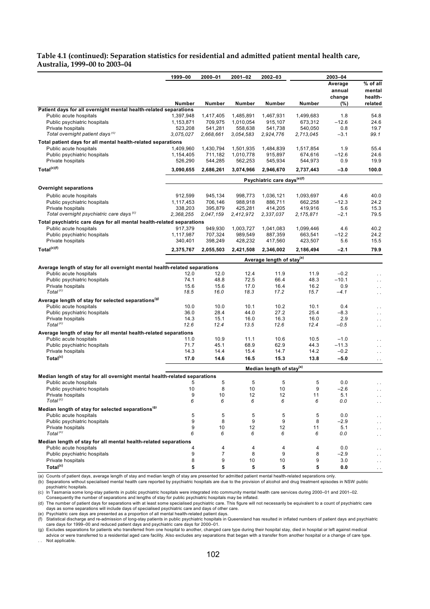#### **Table 4.1 (continued): Separation statistics for residential and admitted patient mental health care, Australia, 1999–00 to 2003–04**

|                                                                                                      | 1999-00              | 2000-01              | 2001-02              | 2002-03                                 |                      | 2003-04       |                                   |
|------------------------------------------------------------------------------------------------------|----------------------|----------------------|----------------------|-----------------------------------------|----------------------|---------------|-----------------------------------|
|                                                                                                      |                      |                      |                      |                                         |                      | Average       | % of all                          |
|                                                                                                      |                      |                      |                      |                                         |                      | annual        | mental                            |
|                                                                                                      | Number               | Number               | Number               | Number                                  | Number               | change<br>(%) | health-<br>related                |
| Patient days for all overnight mental health-related separations                                     |                      |                      |                      |                                         |                      |               |                                   |
| Public acute hospitals                                                                               | 1,397,948            | 1,417,405            | 1,485,891            | 1,467,931                               | 1,499,683            | 1.8           | 54.8                              |
| Public psychiatric hospitals                                                                         | 1,153,871            | 709,975              | 1,010,054            | 915,107                                 | 673,312              | $-12.6$       | 24.6                              |
| Private hospitals<br>Total overnight patient days (c)                                                | 523,208<br>3,075,027 | 541,281<br>2,668,661 | 558,638<br>3,054,583 | 541,738<br>2,924,776                    | 540,050<br>2,713,045 | 0.8<br>$-3.1$ | 19.7<br>99.1                      |
|                                                                                                      |                      |                      |                      |                                         |                      |               |                                   |
| Total patient days for all mental health-related separations<br>Public acute hospitals               | 1,409,960            | 1,430,794            | 1,501,935            | 1,484,839                               | 1,517,854            | 1.9           | 55.4                              |
| Public psychiatric hospitals                                                                         | 1,154,405            | 711,182              | 1,010,778            | 915,897                                 | 674,616              | $-12.6$       | 24.6                              |
| Private hospitals                                                                                    | 526,290              | 544,285              | 562,253              | 545,934                                 | 544,973              | 0.9           | 19.9                              |
| Total <sup>(c)(f)</sup>                                                                              | 3,090,655            | 2,686,261            | 3,074,966            | 2,946,670                               | 2,737,443            | $-3.0$        | 100.0                             |
|                                                                                                      |                      |                      |                      |                                         |                      |               |                                   |
|                                                                                                      |                      |                      |                      | Psychiatric care days <sup>(e)(f)</sup> |                      |               |                                   |
| <b>Overnight separations</b>                                                                         |                      |                      |                      |                                         |                      |               |                                   |
| Public acute hospitals                                                                               | 912,599              | 945,134              | 998,773              | 1,036,121                               | 1,093,697            | 4.6           | 40.0                              |
| Public psychiatric hospitals                                                                         | 1,117,453            | 706,146              | 988,918              | 886,711                                 | 662,258              | $-12.3$       | 24.2                              |
| Private hospitals<br>Total overnight psychiatric care days <sup>(c)</sup>                            | 338,203<br>2,368,255 | 395,879<br>2,047,159 | 425,281<br>2,412,972 | 414,205<br>2,337,037                    | 419,916<br>2,175,871 | 5.6<br>$-2.1$ | 15.3<br>79.5                      |
| Total psychiatric care days for all mental health-related separations                                |                      |                      |                      |                                         |                      |               |                                   |
| Public acute hospitals                                                                               | 917,379              | 949,930              | 1,003,727            | 1,041,083                               | 1,099,446            | 4.6           | 40.2                              |
| Public psychiatric hospitals                                                                         | 1,117,987            | 707,324              | 989.549              | 887,359                                 | 663,541              | $-12.2$       | 24.2                              |
| Private hospitals                                                                                    | 340,401              | 398,249              | 428,232              | 417,560                                 | 423,507              | 5.6           | 15.5                              |
| Total <sup>(c)(f)</sup>                                                                              | 2,375,767            | 2,055,503            | 2,421,508            | 2,346,002                               | 2,186,494            | $-2.1$        | 79.9                              |
|                                                                                                      |                      |                      |                      | Average length of stay <sup>(a)</sup>   |                      |               |                                   |
|                                                                                                      |                      |                      |                      |                                         |                      |               |                                   |
| Average length of stay for all overnight mental health-related separations<br>Public acute hospitals | 12.0                 | 12.0                 | 12.4                 | 11.9                                    | 11.9                 | $-0.2$        |                                   |
| Public psychiatric hospitals                                                                         | 74.1                 | 48.8                 | 72.5                 | 66.4                                    | 48.3                 | $-10.1$       | $\ddot{\phantom{0}}$<br>$\ddotsc$ |
| Private hospitals                                                                                    | 15.6                 | 15.6                 | 17.0                 | 16.4                                    | 16.2                 | 0.9           | $\ddotsc$                         |
| Total <sup>(c)</sup>                                                                                 | 18.5                 | 16.0                 | 18.3                 | 17.2                                    | 15.7                 | $-4.1$        | $\ddotsc$                         |
| Average length of stay for selected separations <sup>(9)</sup>                                       |                      |                      |                      |                                         |                      |               |                                   |
| Public acute hospitals                                                                               | 10.0                 | 10.0                 | 10.1                 | 10.2                                    | 10.1                 | 0.4           |                                   |
| Public psychiatric hospitals                                                                         | 36.0                 | 28.4                 | 44.0                 | 27.2                                    | 25.4                 | $-8.3$        | $\ddotsc$                         |
| Private hospitals                                                                                    | 14.3                 | 15.1                 | 16.0                 | 16.3                                    | 16.0                 | 2.9           | $\ddotsc$                         |
| Total <sup>(c)</sup>                                                                                 | 12.6                 | 12.4                 | 13.5                 | 12.6                                    | 12.4                 | -0.5          | $\ddotsc$                         |
| Average length of stay for all mental health-related separations                                     |                      |                      |                      |                                         |                      |               |                                   |
| Public acute hospitals                                                                               | 11.0                 | 10.9                 | 11.1                 | 10.6                                    | 10.5                 | $-1.0$        |                                   |
| Public psychiatric hospitals                                                                         | 71.7                 | 45.1                 | 68.9                 | 62.9                                    | 44.3                 | $-11.3$       | $\ddotsc$                         |
| Private hospitals                                                                                    | 14.3                 | 14.4                 | 15.4                 | 14.7                                    | 14.2                 | $-0.2$        | $\ddotsc$                         |
| Total <sup>(c)</sup>                                                                                 | 17.0                 | 14.6                 | 16.5                 | 15.3                                    | 13.8                 | $-5.0$        | $\ddot{\phantom{1}}$ .            |
|                                                                                                      |                      |                      |                      | Median length of stay <sup>(a)</sup>    |                      |               |                                   |
| Median length of stay for all overnight mental health-related separations                            |                      |                      |                      |                                         |                      |               |                                   |
| Public acute hospitals                                                                               | 5                    | 5                    | 5                    | 5                                       | 5                    | 0.0           |                                   |
| Public psychiatric hospitals                                                                         | 10                   | 8                    | 10                   | 10                                      | 9                    | $-2.6$        | $\ddotsc$                         |
| Private hospitals<br>Total <sup>(c)</sup>                                                            | 9<br>6               | $10$<br>6            | 12<br>6              | 12<br>6                                 | 11<br>6              | 5.1<br>0.0    | $\cdot$ .                         |
| Median length of stay for selected separations <sup>(g)</sup>                                        |                      |                      |                      |                                         |                      |               | $\ddotsc$                         |
| Public acute hospitals                                                                               | 5                    | 5                    | 5                    | 5                                       | 5                    | 0.0           |                                   |
| Public psychiatric hospitals                                                                         | 9                    | 8                    | 9                    | 9                                       | 8                    | $-2.9$        | $\ddotsc$<br>$\ddot{\phantom{0}}$ |
| Private hospitals                                                                                    | 9                    | 10                   | 12                   | 12                                      | 11                   | 5.1           |                                   |
| Total <sup>(c)</sup>                                                                                 | 6                    | 6                    | 6                    | 6                                       | 6                    | 0.0           | . .                               |
| Median length of stay for all mental health-related separations                                      |                      |                      |                      |                                         |                      |               |                                   |
| Public acute hospitals                                                                               | 4                    | 4                    | 4                    | 4                                       | 4                    | 0.0           |                                   |
| Public psychiatric hospitals                                                                         | 9                    | 7                    | 8                    | 9                                       | 8                    | $-2.9$        |                                   |
| Private hospitals                                                                                    | 8                    | 9                    | 10                   | 10                                      | 9                    | 3.0           |                                   |
| Total <sup>(c)</sup>                                                                                 | 5                    | 5                    | 5                    | 5                                       | 5                    | 0.0           | $\cdot$ .                         |

(a) Counts of patient days, average length of stay and median length of stay are presented for admitted patient mental health-related separations only.<br>(b) Separations without specialised mental health care reported by p

psychiatric hospitals.

(c) In Tasmania some long-stay patients in public psychiatric hospitals were integrated into community mental health care services during 2000–01 and 2001–02.<br>Consequently the number of separations and lengths of stay for

(d) The number of patient days for separations with at least some specialised psychiatric care. This figure will not necessarily be equivalent to a count of psychiatric care

days as some separations will include days of specialised psychiatric care and days of other care. (e) Psychiatric care days are presented as a proportion of all mental health-related patient days.

(f) Statistical discharge and re-admission of long-stay patients in public psychiatric hospitals in Queensland has resulted in inflated numbers of patient days and psychiatric care days for 1999–00 and reduced patient days and psychiatric care days for 2000–01.

(g) Excludes separations for patients who transferred from one hospital to another, changed care type during their hospital stay, died in hospital or left against medical advice or were transferred to a residential aged care facility. Also excludes any separations that began with a transfer from another hospital or a change of care type. Not applicable.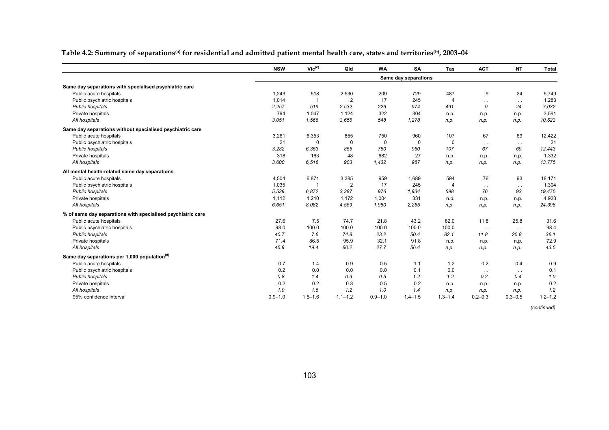**Table 4.2: Summary of separations(a) for residential and admitted patient mental health care, states and territories(b), 2003–04** 

|                                                             | <b>NSW</b>  | $Vic^{(c)}$ | Qld            | <b>WA</b>   | SA                   | Tas            | <b>ACT</b>    | <b>NT</b>     | <b>Total</b> |
|-------------------------------------------------------------|-------------|-------------|----------------|-------------|----------------------|----------------|---------------|---------------|--------------|
|                                                             |             |             |                |             | Same day separations |                |               |               |              |
| Same day separations with specialised psychiatric care      |             |             |                |             |                      |                |               |               |              |
| Public acute hospitals                                      | 1,243       | 518         | 2,530          | 209         | 729                  | 487            | 9             | 24            | 5,749        |
| Public psychiatric hospitals                                | 1,014       | -1          | 2              | 17          | 245                  | $\overline{4}$ | $\ddotsc$     | $\sim$ $\sim$ | 1,283        |
| Public hospitals                                            | 2,257       | 519         | 2.532          | 226         | 974                  | 491            | 9             | 24            | 7,032        |
| Private hospitals                                           | 794         | 1,047       | 1,124          | 322         | 304                  | n.p.           | n.p.          | n.p.          | 3,591        |
| All hospitals                                               | 3,051       | 1,566       | 3,656          | 548         | 1,278                | n.p.           | n.p.          | n.p.          | 10,623       |
| Same day separations without specialised psychiatric care   |             |             |                |             |                      |                |               |               |              |
| Public acute hospitals                                      | 3,261       | 6,353       | 855            | 750         | 960                  | 107            | 67            | 69            | 12,422       |
| Public psychiatric hospitals                                | 21          | 0           | $\Omega$       | 0           | $\Omega$             | $\mathbf 0$    | $\sim$ $\sim$ | $\sim$ $\sim$ | 21           |
| Public hospitals                                            | 3,282       | 6,353       | 855            | 750         | 960                  | 107            | 67            | 69            | 12,443       |
| Private hospitals                                           | 318         | 163         | 48             | 682         | 27                   | n.p.           | n.p.          | n.p.          | 1,332        |
| All hospitals                                               | 3,600       | 6,516       | 903            | 1,432       | 987                  | n.p.           | n.p.          | n.p.          | 13,775       |
| All mental health-related same day separations              |             |             |                |             |                      |                |               |               |              |
| Public acute hospitals                                      | 4,504       | 6,871       | 3,385          | 959         | 1,689                | 594            | 76            | 93            | 18,171       |
| Public psychiatric hospitals                                | 1,035       | 1           | $\overline{2}$ | 17          | 245                  | $\overline{4}$ | $\sim$ $\sim$ | $\sim$ $\sim$ | 1,304        |
| Public hospitals                                            | 5,539       | 6,872       | 3,387          | 976         | 1,934                | 598            | 76            | 93            | 19,475       |
| Private hospitals                                           | 1,112       | 1,210       | 1,172          | 1,004       | 331                  | n.p.           | n.p.          | n.p.          | 4,923        |
| All hospitals                                               | 6,651       | 8.082       | 4,559          | 1,980       | 2,265                | n.p.           | n.p.          | n.p.          | 24,398       |
| % of same day separations with specialised psychiatric care |             |             |                |             |                      |                |               |               |              |
| Public acute hospitals                                      | 27.6        | 7.5         | 74.7           | 21.8        | 43.2                 | 82.0           | 11.8          | 25.8          | 31.6         |
| Public psychiatric hospitals                                | 98.0        | 100.0       | 100.0          | 100.0       | 100.0                | 100.0          | $\sim$ $\sim$ | $\sim$ $\sim$ | 98.4         |
| Public hospitals                                            | 40.7        | 7.6         | 74.8           | 23.2        | 50.4                 | 82.1           | 11.8          | 25.8          | 36.1         |
| Private hospitals                                           | 71.4        | 86.5        | 95.9           | 32.1        | 91.8                 | n.p.           | n.p.          | n.p.          | 72.9         |
| All hospitals                                               | 45.9        | 19.4        | 80.2           | 27.7        | 56.4                 | n.p.           | n.p.          | n.p.          | 43.5         |
| Same day separations per 1,000 population <sup>(d)</sup>    |             |             |                |             |                      |                |               |               |              |
| Public acute hospitals                                      | 0.7         | 1.4         | 0.9            | 0.5         | 1.1                  | 1.2            | 0.2           | 0.4           | 0.9          |
| Public psychiatric hospitals                                | 0.2         | 0.0         | 0.0            | 0.0         | 0.1                  | 0.0            | $\sim$ $\sim$ | $\sim$ $\sim$ | 0.1          |
| Public hospitals                                            | 0.8         | 1.4         | 0.9            | 0.5         | 1.2                  | 1.2            | 0.2           | 0.4           | 1.0          |
| Private hospitals                                           | 0.2         | 0.2         | 0.3            | 0.5         | 0.2                  | n.p.           | n.p.          | n.p.          | 0.2          |
| All hospitals                                               | 1.0         | 1.6         | 1.2            | 1.0         | 1.4                  | n.p.           | n.p.          | n.p.          | 1.2          |
| 95% confidence interval                                     | $0.9 - 1.0$ | $1.5 - 1.6$ | $1.1 - 1.2$    | $0.9 - 1.0$ | $1.4 - 1.5$          | $1.3 - 1.4$    | $0.2 - 0.3$   | $0.3 - 0.5$   | $1.2 - 1.2$  |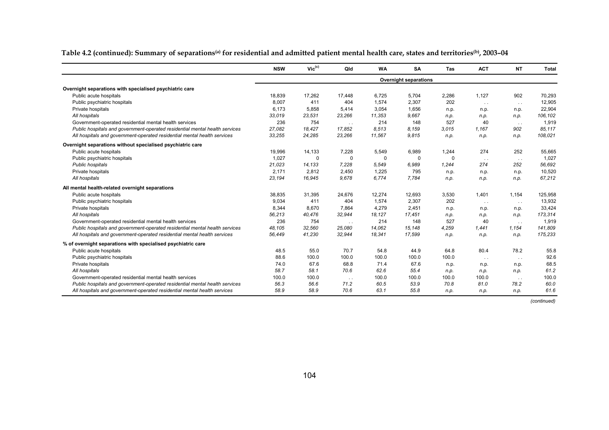|                                                                             | <b>NSW</b> | $Vic^{(c)}$ | Qld       | <b>WA</b> | <b>SA</b>                    | Tas      | <b>ACT</b>    | <b>NT</b>     | <b>Total</b> |
|-----------------------------------------------------------------------------|------------|-------------|-----------|-----------|------------------------------|----------|---------------|---------------|--------------|
|                                                                             |            |             |           |           | <b>Overnight separations</b> |          |               |               |              |
| Overnight separations with specialised psychiatric care                     |            |             |           |           |                              |          |               |               |              |
| Public acute hospitals                                                      | 18,839     | 17.262      | 17,448    | 6.725     | 5.704                        | 2,286    | 1.127         | 902           | 70,293       |
| Public psychiatric hospitals                                                | 8,007      | 411         | 404       | 1,574     | 2,307                        | 202      | $\sim$ $\sim$ | $\sim$ $\sim$ | 12,905       |
| Private hospitals                                                           | 6,173      | 5,858       | 5,414     | 3,054     | 1,656                        | n.p.     | n.p.          | n.p.          | 22,904       |
| All hospitals                                                               | 33,019     | 23,531      | 23,266    | 11,353    | 9.667                        | n.p.     | n.p.          | n.p.          | 106,102      |
| Government-operated residential mental health services                      | 236        | 754         | $\ddotsc$ | 214       | 148                          | 527      | 40            | $\sim$ $\sim$ | 1,919        |
| Public hospitals and government-operated residential mental health services | 27,082     | 18,427      | 17,852    | 8,513     | 8,159                        | 3,015    | 1,167         | 902           | 85,117       |
| All hospitals and government-operated residential mental health services    | 33,255     | 24,285      | 23,266    | 11,567    | 9,815                        | n.p.     | n.p.          | n.p.          | 108,021      |
| Overnight separations without specialised psychiatric care                  |            |             |           |           |                              |          |               |               |              |
| Public acute hospitals                                                      | 19.996     | 14,133      | 7,228     | 5,549     | 6,989                        | 1,244    | 274           | 252           | 55,665       |
| Public psychiatric hospitals                                                | 1.027      | $\Omega$    | $\Omega$  | $\Omega$  | $\Omega$                     | $\Omega$ | $\sim$ $\sim$ | $\sim$ $\sim$ | 1,027        |
| Public hospitals                                                            | 21.023     | 14.133      | 7.228     | 5.549     | 6.989                        | 1.244    | 274           | 252           | 56.692       |
| Private hospitals                                                           | 2,171      | 2,812       | 2,450     | 1,225     | 795                          | n.p.     | n.p.          | n.p.          | 10,520       |
| All hospitals                                                               | 23,194     | 16,945      | 9.678     | 6.774     | 7.784                        | n.p.     | n.p.          | n.p.          | 67.212       |
| All mental health-related overnight separations                             |            |             |           |           |                              |          |               |               |              |
| Public acute hospitals                                                      | 38,835     | 31,395      | 24,676    | 12,274    | 12,693                       | 3,530    | 1,401         | 1,154         | 125,958      |
| Public psychiatric hospitals                                                | 9,034      | 411         | 404       | 1,574     | 2,307                        | 202      | $\sim$ $\sim$ | $\sim$ $\sim$ | 13,932       |
| Private hospitals                                                           | 8,344      | 8,670       | 7.864     | 4,279     | 2,451                        | n.p.     | n.p.          | n.p.          | 33,424       |
| All hospitals                                                               | 56,213     | 40,476      | 32,944    | 18,127    | 17,451                       | n.p.     | n.p.          | n.p.          | 173,314      |
| Government-operated residential mental health services                      | 236        | 754         | $\sim$ .  | 214       | 148                          | 527      | 40            | $\sim$ $\sim$ | 1,919        |
| Public hospitals and government-operated residential mental health services | 48.105     | 32,560      | 25,080    | 14,062    | 15,148                       | 4,259    | 1,441         | 1,154         | 141,809      |
| All hospitals and government-operated residential mental health services    | 56,449     | 41,230      | 32,944    | 18,341    | 17,599                       | n.p.     | n.p.          | n.p.          | 175,233      |
| % of overnight separations with specialised psychiatric care                |            |             |           |           |                              |          |               |               |              |
| Public acute hospitals                                                      | 48.5       | 55.0        | 70.7      | 54.8      | 44.9                         | 64.8     | 80.4          | 78.2          | 55.8         |
| Public psychiatric hospitals                                                | 88.6       | 100.0       | 100.0     | 100.0     | 100.0                        | 100.0    | $\sim$ $\sim$ | $\sim$ $\sim$ | 92.6         |
| Private hospitals                                                           | 74.0       | 67.6        | 68.8      | 71.4      | 67.6                         | n.p.     | n.p.          | n.p.          | 68.5         |
| All hospitals                                                               | 58.7       | 58.1        | 70.6      | 62.6      | 55.4                         | n.p.     | n.p.          | n.p.          | 61.2         |
| Government-operated residential mental health services                      | 100.0      | 100.0       | $\cdots$  | 100.0     | 100.0                        | 100.0    | 100.0         | $\sim$ $\sim$ | 100.0        |
| Public hospitals and government-operated residential mental health services | 56.3       | 56.6        | 71.2      | 60.5      | 53.9                         | 70.8     | 81.0          | 78.2          | 60.0         |
| All hospitals and government-operated residential mental health services    | 58.9       | 58.9        | 70.6      | 63.1      | 55.8                         | n.p.     | n.p.          | n.p.          | 61.6         |

Table 4.2 (continued): Summary of separations<sup>(a)</sup> for residential and admitted patient mental health care, states and territories<sup>(b)</sup>, 2003-04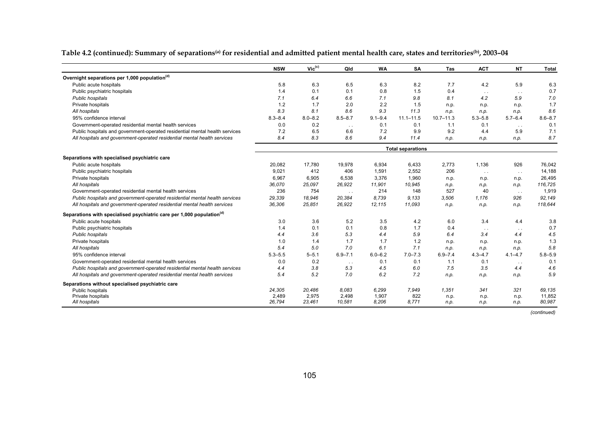|                                                                                   | <b>NSW</b>  | $Vic^{(c)}$ | Qld             | <b>WA</b>      | SA                       | Tas           | <b>ACT</b>    | <b>NT</b>     | <b>Total</b>     |
|-----------------------------------------------------------------------------------|-------------|-------------|-----------------|----------------|--------------------------|---------------|---------------|---------------|------------------|
| Overnight separations per 1,000 population <sup>(d)</sup>                         |             |             |                 |                |                          |               |               |               |                  |
| Public acute hospitals                                                            | 5.8         | 6.3         | 6.5             | 6.3            | 8.2                      | 7.7           | 4.2           | 5.9           | 6.3              |
| Public psychiatric hospitals                                                      | 1.4         | 0.1         | 0.1             | 0.8            | 1.5                      | 0.4           | $\sim$ $\sim$ | $\sim$ $\sim$ | 0.7              |
| Public hospitals                                                                  | 7.1         | 6.4         | 6.6             | 7.1            | 9.8                      | 8.1           | 4.2           | 5.9           | 7.0              |
| Private hospitals                                                                 | 1.2         | 1.7         | 2.0             | 2.2            | 1.5                      | n.p.          | n.p.          | n.p.          | 1.7              |
| All hospitals                                                                     | 8.3         | 8.1         | 8.6             | 9.3            | 11.3                     | n.p.          | n.p.          | n.p.          | 8.6              |
| 95% confidence interval                                                           | $8.3 - 8.4$ | $8.0 - 8.2$ | $8.5 - 8.7$     | $9.1 - 9.4$    | $11.1 - 11.5$            | $10.7 - 11.3$ | $5.3 - 5.8$   | $5.7 - 6.4$   | $8.6 - 8.7$      |
| Government-operated residential mental health services                            | 0.0         | 0.2         | $\sim$ $\sim$   | 0.1            | 0.1                      | 1.1           | 0.1           | $\sim$ $\sim$ | 0.1              |
| Public hospitals and government-operated residential mental health services       | 7.2         | 6.5         | 6.6             | 7.2            | 9.9                      | 9.2           | 4.4           | 5.9           | 7.1              |
| All hospitals and government-operated residential mental health services          | 8.4         | 8.3         | 8.6             | 9.4            | 11.4                     | n.p.          | n.p.          | n.p.          | 8.7              |
|                                                                                   |             |             |                 |                | <b>Total separations</b> |               |               |               |                  |
| Separations with specialised psychiatric care                                     |             |             |                 |                |                          |               |               |               |                  |
| Public acute hospitals                                                            | 20,082      | 17,780      | 19,978          | 6.934          | 6,433                    | 2,773         | 1,136         | 926           | 76,042           |
| Public psychiatric hospitals                                                      | 9,021       | 412         | 406             | 1,591          | 2,552                    | 206           | $\sim$ $\sim$ | $\sim$ $\sim$ | 14,188           |
| Private hospitals                                                                 | 6,967       | 6,905       | 6,538           | 3,376          | 1,960                    | n.p.          | n.p.          | n.p.          | 26,495           |
| All hospitals                                                                     | 36,070      | 25,097      | 26,922          | 11,901         | 10,945                   | n.p.          | n.p.          | n.p.          | 116,725          |
| Government-operated residential mental health services                            | 236         | 754         | $\sim$ $\sim$   | 214            | 148                      | 527           | 40            | $\sim$ $\sim$ | 1,919            |
| Public hospitals and government-operated residential mental health services       | 29,339      | 18,946      | 20,384          | 8.739          | 9.133                    | 3.506         | 1.176         | 926           | 92,149           |
| All hospitals and government-operated residential mental health services          | 36,306      | 25,851      | 26,922          | 12,115         | 11,093                   | n.p.          | n.p.          | n.p.          | 118,644          |
| Separations with specialised psychiatric care per 1,000 population <sup>(d)</sup> |             |             |                 |                |                          |               |               |               |                  |
| Public acute hospitals                                                            | 3.0         | 3.6         | 5.2             | 3.5            | 4.2                      | 6.0           | 3.4           | 4.4           | 3.8              |
| Public psychiatric hospitals                                                      | 1.4         | 0.1         | 0.1             | 0.8            | 1.7                      | 0.4           | $\sim$ $\sim$ | $\sim$ $\sim$ | 0.7              |
| Public hospitals                                                                  | 4.4         | 3.6         | 5.3             | 4.4            | 5.9                      | 6.4           | 3.4           | 4.4           | 4.5              |
| Private hospitals                                                                 | 1.0         | 1.4         | 1.7             | 1.7            | 1.2                      | n.p.          | n.p.          | n.p.          | 1.3              |
| All hospitals                                                                     | 5.4         | 5.0         | 7.0             | 6.1            | 7.1                      | n.p.          | n.p.          | n.p.          | 5.8              |
| 95% confidence interval                                                           | $5.3 - 5.5$ | $5 - 5.1$   | $6.9 - 7.1$     | $6.0 - 6.2$    | $7.0 - 7.3$              | $6.9 - 7.4$   | $4.3 - 4.7$   | $4.1 - 4.7$   | $5.8 - 5.9$      |
| Government-operated residential mental health services                            | 0.0         | 0.2         | $\sim$ $\sim$   | 0.1            | 0.1                      | 1.1           | 0.1           | $\sim$ $\sim$ | 0.1              |
| Public hospitals and government-operated residential mental health services       | 4.4         | 3.8         | 5.3             | 4.5            | 6.0                      | 7.5           | 3.5           | 4.4           | 4.6              |
| All hospitals and government-operated residential mental health services          | 5.4         | 5.2         | 7.0             | 6.2            | 7.2                      | n.p.          | n.p.          | n.p.          | 5.9              |
| Separations without specialised psychiatric care                                  |             |             |                 |                |                          |               |               |               |                  |
| Public hospitals                                                                  | 24,305      | 20,486      | 8.083           | 6,299          | 7.949                    | 1.351         | 341           | 321           | 69,135           |
| Private hospitals                                                                 | 2.489       | 2,975       | 2.498<br>10.581 | 1,907<br>8.206 | 822<br>8.771             | n.p.          | n.p.          | n.p.          | 11,852<br>80.987 |
| All hospitals                                                                     | 26.794      | 23,461      |                 |                |                          | n.p.          | n.p.          | n.p.          |                  |

Table 4.2 (continued): Summary of separations<sup>(a)</sup> for residential and admitted patient mental health care, states and territories<sup>(b)</sup>, 2003-04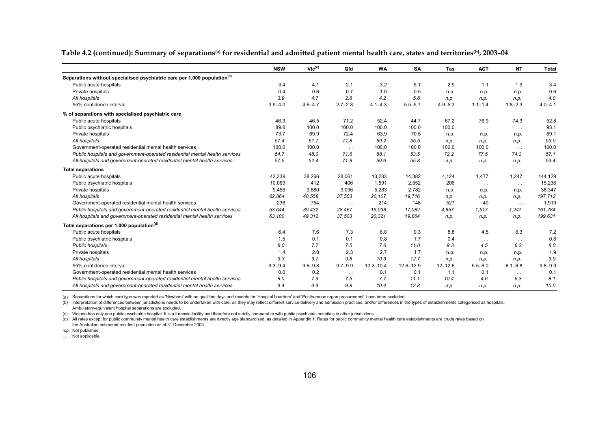**Table 4.2 (continued): Summary of separations(a) for residential and admitted patient mental health care, states and territories(b), 2003–04**

|                                                                                      | <b>NSW</b>  | $Vic^{(c)}$ | Qld           | <b>WA</b>     | <b>SA</b>   | <b>Tas</b>  | <b>ACT</b>    | <b>NT</b>     | <b>Total</b> |
|--------------------------------------------------------------------------------------|-------------|-------------|---------------|---------------|-------------|-------------|---------------|---------------|--------------|
| Separations without specialised psychiatric care per 1,000 population <sup>(d)</sup> |             |             |               |               |             |             |               |               |              |
| Public acute hospitals                                                               | 3.4         | 4.1         | 2.1           | 3.2           | 5.1         | 2.9         | 1.1           | 1.9           | 3.4          |
| Private hospitals                                                                    | 0.4         | 0.6         | 0.7           | 1.0           | 0.5         | n.p.        | n.p.          | n.p.          | 0.6          |
| All hospitals                                                                        | 3.9         | 4.7         | 2.8           | 4.2           | 5.6         | n.p.        | n.p.          | n.p.          | 4.0          |
| 95% confidence interval                                                              | $3.9 - 4.0$ | $4.6 - 4.7$ | $2.7 - 2.8$   | $4.1 - 4.3$   | $5.5 - 5.7$ | $4.9 - 5.3$ | $1.1 - 1.4$   | $1.8 - 2.3$   | $4.0 - 4.1$  |
| % of separations with specialised psychiatric care                                   |             |             |               |               |             |             |               |               |              |
| Public acute hospitals                                                               | 46.3        | 46.5        | 71.2          | 52.4          | 44.7        | 67.2        | 76.9          | 74.3          | 52.8         |
| Public psychiatric hospitals                                                         | 89.6        | 100.0       | 100.0         | 100.0         | 100.0       | 100.0       | $\sim$ $\sim$ | $\sim$ $\sim$ | 93.1         |
| Private hospitals                                                                    | 73.7        | 69.9        | 72.4          | 63.9          | 70.5        | n.p.        | n.p.          | n.p.          | 69.1         |
| All hospitals                                                                        | 57.4        | 51.7        | 71.8          | 59.2          | 55.5        | n.p.        | n.p.          | n.p.          | 59.0         |
| Government-operated residential mental health services                               | 100.0       | 100.0       | $\sim$ .      | 100.0         | 100.0       | 100.0       | 100.0         | $\sim$ $\sim$ | 100.0        |
| Public hospitals and government-operated residential mental health services          | 54.7        | 48.0        | 71.6          | 58.1          | 53.5        | 72.2        | 77.5          | 74.3          | 57.1         |
| All hospitals and government-operated residential mental health services             | 57.5        | 52.4        | 71.8          | 59.6          | 55.8        | n.p.        | n.p.          | n.p.          | 59.4         |
| <b>Total separations</b>                                                             |             |             |               |               |             |             |               |               |              |
| Public acute hospitals                                                               | 43,339      | 38,266      | 28,061        | 13,233        | 14,382      | 4,124       | 1,477         | 1,247         | 144,129      |
| Public psychiatric hospitals                                                         | 10,069      | 412         | 406           | 1,591         | 2,552       | 206         | $\sim$ $\sim$ | $\sim$ $\sim$ | 15,236       |
| Private hospitals                                                                    | 9,456       | 9.880       | 9,036         | 5,283         | 2,782       | n.p.        | n.p.          | n.p.          | 38,347       |
| All hospitals                                                                        | 62,864      | 48,558      | 37,503        | 20,107        | 19,716      | n.p.        | n.p.          | n.p.          | 197,712      |
| Government-operated residential mental health services                               | 236         | 754         | $\sim$ $\sim$ | 214           | 148         | 527         | 40            | $\sim$ $\sim$ | 1,919        |
| Public hospitals and government-operated residential mental health services          | 53,644      | 39,432      | 28.467        | 15.038        | 17.082      | 4,857       | 1.517         | 1,247         | 161,284      |
| All hospitals and government-operated residential mental health services             | 63,100      | 49,312      | 37,503        | 20,321        | 19.864      | n.p.        | n.p.          | n.p.          | 199,631      |
| Total separations per 1,000 population <sup>(d)</sup>                                |             |             |               |               |             |             |               |               |              |
| Public acute hospitals                                                               | 6.4         | 7.6         | 7.3           | 6.8           | 9.3         | 8.8         | 4.5           | 6.3           | 7.2          |
| Public psychiatric hospitals                                                         | 1.5         | 0.1         | 0.1           | 0.8           | 1.7         | 0.4         | $\sim$ $\sim$ | $\sim$ $\sim$ | 0.8          |
| Public hospitals                                                                     | 8.0         | 7.7         | 7.5           | 7.6           | 11.0        | 9.3         | 4.5           | 6.3           | 8.0          |
| Private hospitals                                                                    | 1.4         | 2.0         | 2.3           | 2.7           | 1.7         | n.p.        | n.p.          | n.p.          | 1.9          |
| All hospitals                                                                        | 9.3         | 9.7         | 9.8           | 10.3          | 12.7        | n.p.        | n.p.          | n.p.          | 9.9          |
| 95% confidence interval                                                              | $9.3 - 9.4$ | $9.6 - 9.8$ | $9.7 - 9.9$   | $10.2 - 10.4$ | 12.6-12.9   | $12 - 12.6$ | $5.5 - 6.0$   | $6.1 - 6.8$   | $9.8 - 9.9$  |
| Government-operated residential mental health services                               | 0.0         | 0.2         | $\cdots$      | 0.1           | 0.1         | 1.1         | 0.1           | $\sim$ $\sim$ | 0.1          |
| Public hospitals and government-operated residential mental health services          | 8.0         | 7.9         | 7.5           | 7.7           | 11.1        | 10.4        | 4.6           | 6.3           | 8.1          |
| All hospitals and government-operated residential mental health services             | 9.4         | 9.9         | 9.8           | 10.4          | 12.8        | n.p.        | n.p.          | n.p.          | 10.0         |

(a) Separations for which care type was reported as 'Newborn' with no qualified days and records for 'Hospital boarders' and 'Posthumous organ procurement' have been excluded.

(b) Interpretation of differences between jurisdictions needs to be undertaken with care, as they may reflect different service delivery and admission practices, and/or differences in the types of establishments categorise Ambulatory-equivalent hospital separations are excluded.

(c) Victoria has only one public psychiatric hospital. It is a forensic facility and therefore not strictly comparable with public psychiatric hospitals in other jurisdictions.

(d) All rates except for public community mental health care establishments are directly age standardised, as detailed in Appendix 1. Rates for public community mental health care establishments are crude rates based on the Australian estimated resident population as at 31 December 2003.

n.p. Not published.

.. Not applicable.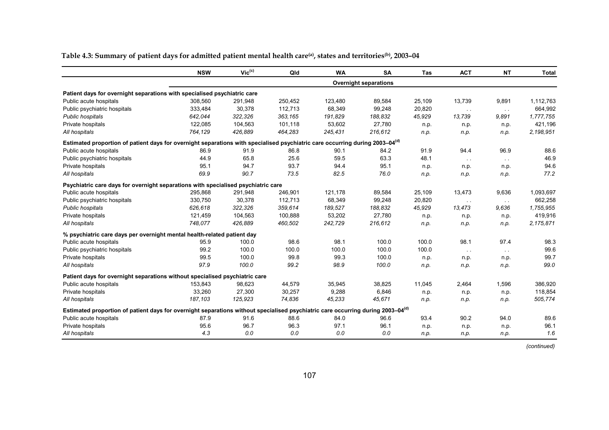|                                                                                                                                             | <b>NSW</b> | $Vic^{(c)}$ | Qld     | <b>WA</b> | SA                           | <b>Tas</b> | <b>ACT</b>    | <b>NT</b>     | <b>Total</b> |
|---------------------------------------------------------------------------------------------------------------------------------------------|------------|-------------|---------|-----------|------------------------------|------------|---------------|---------------|--------------|
|                                                                                                                                             |            |             |         |           | <b>Overnight separations</b> |            |               |               |              |
| Patient days for overnight separations with specialised psychiatric care                                                                    |            |             |         |           |                              |            |               |               |              |
| Public acute hospitals                                                                                                                      | 308,560    | 291,948     | 250,452 | 123,480   | 89,584                       | 25,109     | 13,739        | 9,891         | 1,112,763    |
| Public psychiatric hospitals                                                                                                                | 333,484    | 30,378      | 112,713 | 68,349    | 99,248                       | 20,820     | $\sim$ $\sim$ | $\sim$ $\sim$ | 664,992      |
| Public hospitals                                                                                                                            | 642,044    | 322,326     | 363,165 | 191,829   | 188,832                      | 45,929     | 13,739        | 9,891         | 1,777,755    |
| Private hospitals                                                                                                                           | 122,085    | 104,563     | 101,118 | 53,602    | 27,780                       | n.p.       | n.p.          | n.p.          | 421,196      |
| All hospitals                                                                                                                               | 764,129    | 426,889     | 464,283 | 245,431   | 216,612                      | n.p.       | n.p.          | n.p.          | 2,198,951    |
| Estimated proportion of patient days for overnight separations with specialised psychiatric care occurring during 2003-04 <sup>(d)</sup>    |            |             |         |           |                              |            |               |               |              |
| Public acute hospitals                                                                                                                      | 86.9       | 91.9        | 86.8    | 90.1      | 84.2                         | 91.9       | 94.4          | 96.9          | 88.6         |
| Public psychiatric hospitals                                                                                                                | 44.9       | 65.8        | 25.6    | 59.5      | 63.3                         | 48.1       | $\sim 10$     | $\sim$ $\sim$ | 46.9         |
| Private hospitals                                                                                                                           | 95.1       | 94.7        | 93.7    | 94.4      | 95.1                         | n.p.       | n.p.          | n.p.          | 94.6         |
| All hospitals                                                                                                                               | 69.9       | 90.7        | 73.5    | 82.5      | 76.0                         | n.p.       | n.p.          | n.p.          | 77.2         |
| Psychiatric care days for overnight separations with specialised psychiatric care                                                           |            |             |         |           |                              |            |               |               |              |
| Public acute hospitals                                                                                                                      | 295,868    | 291,948     | 246,901 | 121,178   | 89,584                       | 25,109     | 13,473        | 9,636         | 1,093,697    |
| Public psychiatric hospitals                                                                                                                | 330,750    | 30,378      | 112,713 | 68,349    | 99,248                       | 20,820     | $\sim$ $\sim$ | $\sim$ $\sim$ | 662,258      |
| Public hospitals                                                                                                                            | 626,618    | 322,326     | 359,614 | 189,527   | 188,832                      | 45,929     | 13,473        | 9,636         | 1,755,955    |
| Private hospitals                                                                                                                           | 121,459    | 104,563     | 100,888 | 53,202    | 27,780                       | n.p.       | n.p.          | n.p.          | 419,916      |
| All hospitals                                                                                                                               | 748,077    | 426,889     | 460,502 | 242,729   | 216,612                      | n.p.       | n.p.          | n.p.          | 2,175,871    |
| % psychiatric care days per overnight mental health-related patient day                                                                     |            |             |         |           |                              |            |               |               |              |
| Public acute hospitals                                                                                                                      | 95.9       | 100.0       | 98.6    | 98.1      | 100.0                        | 100.0      | 98.1          | 97.4          | 98.3         |
| Public psychiatric hospitals                                                                                                                | 99.2       | 100.0       | 100.0   | 100.0     | 100.0                        | 100.0      | $\sim 10$     | $\sim$ $\sim$ | 99.6         |
| Private hospitals                                                                                                                           | 99.5       | 100.0       | 99.8    | 99.3      | 100.0                        | n.p.       | n.p.          | n.p.          | 99.7         |
| All hospitals                                                                                                                               | 97.9       | 100.0       | 99.2    | 98.9      | 100.0                        | n.p.       | n.p.          | n.p.          | 99.0         |
| Patient days for overnight separations without specialised psychiatric care                                                                 |            |             |         |           |                              |            |               |               |              |
| Public acute hospitals                                                                                                                      | 153,843    | 98,623      | 44,579  | 35,945    | 38,825                       | 11,045     | 2,464         | 1,596         | 386,920      |
| Private hospitals                                                                                                                           | 33,260     | 27,300      | 30,257  | 9,288     | 6,846                        | n.p.       | n.p.          | n.p.          | 118,854      |
| All hospitals                                                                                                                               | 187, 103   | 125,923     | 74,836  | 45,233    | 45,671                       | n.p.       | n.p.          | n.p.          | 505,774      |
| Estimated proportion of patient days for overnight separations without specialised psychiatric care occurring during 2003-04 <sup>(d)</sup> |            |             |         |           |                              |            |               |               |              |
| Public acute hospitals                                                                                                                      | 87.9       | 91.6        | 88.6    | 84.0      | 96.6                         | 93.4       | 90.2          | 94.0          | 89.6         |
| Private hospitals                                                                                                                           | 95.6       | 96.7        | 96.3    | 97.1      | 96.1                         | n.p.       | n.p.          | n.p.          | 96.1         |
| All hospitals                                                                                                                               | 4.3        | 0.0         | 0.0     | 0.0       | 0.0                          | n.p.       | n.p.          | n.p.          | 1.6          |

Table 4.3: Summary of patient days for admitted patient mental health care<sup>(a)</sup>, states and territories<sup>(b)</sup>, 2003-04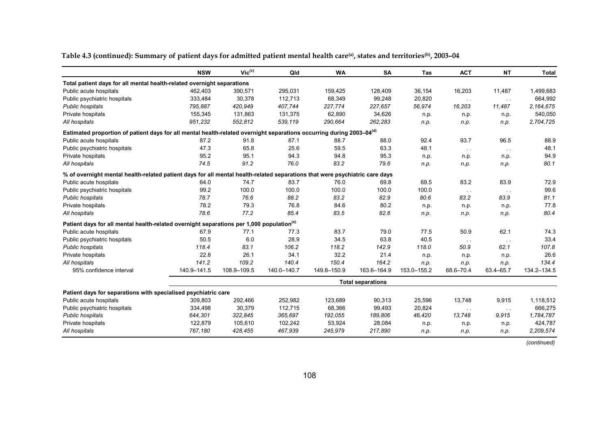**Table 4.3 (continued): Summary of patient days for admitted patient mental health care(a), states and territories(b), 2003–04** 

|                                                                                                                                  | <b>NSW</b>  | $Vic^{(c)}$ | Qld         | <b>WA</b>   | <b>SA</b>                | Tas         | <b>ACT</b>    | <b>NT</b>     | <b>Total</b> |
|----------------------------------------------------------------------------------------------------------------------------------|-------------|-------------|-------------|-------------|--------------------------|-------------|---------------|---------------|--------------|
| Total patient days for all mental health-related overnight separations                                                           |             |             |             |             |                          |             |               |               |              |
| Public acute hospitals                                                                                                           | 462,403     | 390,571     | 295,031     | 159,425     | 128,409                  | 36,154      | 16,203        | 11,487        | 1,499,683    |
| Public psychiatric hospitals                                                                                                     | 333,484     | 30,378      | 112,713     | 68,349      | 99,248                   | 20,820      | $\sim$ $\sim$ | $\sim$ $\sim$ | 664,992      |
| Public hospitals                                                                                                                 | 795,887     | 420,949     | 407,744     | 227,774     | 227,657                  | 56,974      | 16,203        | 11,487        | 2,164,675    |
| Private hospitals                                                                                                                | 155,345     | 131,863     | 131,375     | 62,890      | 34,626                   | n.p.        | n.p.          | n.p.          | 540,050      |
| All hospitals                                                                                                                    | 951,232     | 552,812     | 539,119     | 290,664     | 262,283                  | n.p.        | n.p.          | n.p.          | 2,704,725    |
| Estimated proportion of patient days for all mental health-related overnight separations occurring during 2003-04 <sup>(d)</sup> |             |             |             |             |                          |             |               |               |              |
| Public acute hospitals                                                                                                           | 87.2        | 91.8        | 87.1        | 88.7        | 88.0                     | 92.4        | 93.7          | 96.5          | 88.9         |
| Public psychiatric hospitals                                                                                                     | 47.3        | 65.8        | 25.6        | 59.5        | 63.3                     | 48.1        | $\sim$ $\sim$ | $\sim$ $\sim$ | 48.1         |
| Private hospitals                                                                                                                | 95.2        | 95.1        | 94.3        | 94.8        | 95.3                     | n.p.        | n.p.          | n.p.          | 94.9         |
| All hospitals                                                                                                                    | 74.5        | 91.2        | 76.0        | 83.2        | 79.6                     | n.p.        | n.p.          | n.p.          | 80.1         |
| % of overnight mental health-related patient days for all mental health-related separations that were psychiatric care days      |             |             |             |             |                          |             |               |               |              |
| Public acute hospitals                                                                                                           | 64.0        | 74.7        | 83.7        | 76.0        | 69.8                     | 69.5        | 83.2          | 83.9          | 72.9         |
| Public psychiatric hospitals                                                                                                     | 99.2        | 100.0       | 100.0       | 100.0       | 100.0                    | 100.0       | $\sim$ $\sim$ | $\sim$ $\sim$ | 99.6         |
| Public hospitals                                                                                                                 | 78.7        | 76.6        | 88.2        | 83.2        | 82.9                     | 80.6        | 83.2          | 83.9          | 81.1         |
| Private hospitals                                                                                                                | 78.2        | 79.3        | 76.8        | 84.6        | 80.2                     | n.p.        | n.p.          | n.p.          | 77.8         |
| All hospitals                                                                                                                    | 78.6        | 77.2        | 85.4        | 83.5        | 82.6                     | n.p.        | n.p.          | n.p.          | 80.4         |
| Patient days for all mental health-related overnight separations per 1,000 population <sup>(e)</sup>                             |             |             |             |             |                          |             |               |               |              |
| Public acute hospitals                                                                                                           | 67.9        | 77.1        | 77.3        | 83.7        | 79.0                     | 77.5        | 50.9          | 62.1          | 74.3         |
| Public psychiatric hospitals                                                                                                     | 50.5        | 6.0         | 28.9        | 34.5        | 63.8                     | 40.5        | $\sim 10$     | $\sim 10$     | 33.4         |
| Public hospitals                                                                                                                 | 118.4       | 83.1        | 106.2       | 118.2       | 142.9                    | 118.0       | 50.9          | 62.1          | 107.8        |
| Private hospitals                                                                                                                | 22.8        | 26.1        | 34.1        | 32.2        | 21.4                     | n.p.        | n.p.          | n.p.          | 26.6         |
| All hospitals                                                                                                                    | 141.2       | 109.2       | 140.4       | 150.4       | 164.2                    | n.p.        | n.p.          | n.p.          | 134.4        |
| 95% confidence interval                                                                                                          | 140.9-141.5 | 108.9-109.5 | 140.0-140.7 | 149.8-150.9 | 163.6-164.9              | 153.0-155.2 | 68.6-70.4     | 63.4-65.7     | 134.2-134.5  |
|                                                                                                                                  |             |             |             |             | <b>Total separations</b> |             |               |               |              |
| Patient days for separations with specialised psychiatric care                                                                   |             |             |             |             |                          |             |               |               |              |
| Public acute hospitals                                                                                                           | 309,803     | 292,466     | 252,982     | 123,689     | 90,313                   | 25,596      | 13,748        | 9,915         | 1,118,512    |
| Public psychiatric hospitals                                                                                                     | 334,498     | 30,379      | 112,715     | 68,366      | 99,493                   | 20,824      | $\sim$ $\sim$ | $\sim$ $\sim$ | 666,275      |
| Public hospitals                                                                                                                 | 644,301     | 322,845     | 365,697     | 192,055     | 189,806                  | 46,420      | 13,748        | 9,915         | 1,784,787    |
| Private hospitals                                                                                                                | 122,879     | 105,610     | 102,242     | 53,924      | 28,084                   | n.p.        | n.p.          | n.p.          | 424,787      |
| All hospitals                                                                                                                    | 767,180     | 428,455     | 467,939     | 245,979     | 217,890                  | n.p.        | n.p.          | n.p.          | 2,209,574    |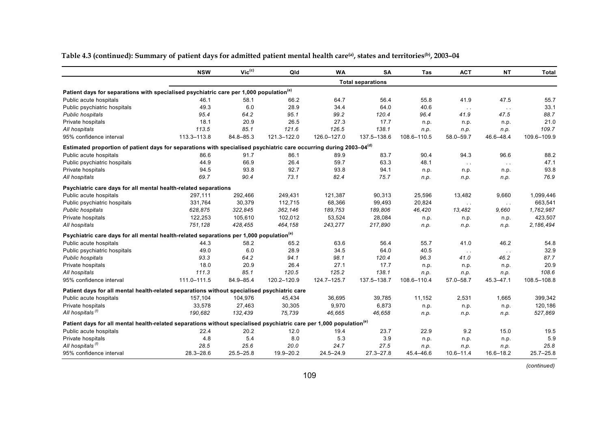|                                                                                                                                 | <b>NSW</b>    | $Vic^{(c)}$   | Qld         | <b>WA</b>     | SA                       | Tas         | <b>ACT</b>    | <b>NT</b>     | <b>Total</b>  |
|---------------------------------------------------------------------------------------------------------------------------------|---------------|---------------|-------------|---------------|--------------------------|-------------|---------------|---------------|---------------|
|                                                                                                                                 |               |               |             |               | <b>Total separations</b> |             |               |               |               |
| Patient days for separations with specialised psychiatric care per 1,000 population <sup>(e)</sup>                              |               |               |             |               |                          |             |               |               |               |
| Public acute hospitals                                                                                                          | 46.1          | 58.1          | 66.2        | 64.7          | 56.4                     | 55.8        | 41.9          | 47.5          | 55.7          |
| Public psychiatric hospitals                                                                                                    | 49.3          | 6.0           | 28.9        | 34.4          | 64.0                     | 40.6        | $\sim$ $\sim$ | $\sim$ $\sim$ | 33.1          |
| <b>Public hospitals</b>                                                                                                         | 95.4          | 64.2          | 95.1        | 99.2          | 120.4                    | 96.4        | 41.9          | 47.5          | 88.7          |
| Private hospitals                                                                                                               | 18.1          | 20.9          | 26.5        | 27.3          | 17.7                     | n.p.        | n.p.          | n.p.          | 21.0          |
| All hospitals                                                                                                                   | 113.5         | 85.1          | 121.6       | 126.5         | 138.1                    | n.p.        | n.p.          | n.p.          | 109.7         |
| 95% confidence interval                                                                                                         | 113.3-113.8   | 84.8-85.3     | 121.3-122.0 | 126.0-127.0   | 137.5-138.6              | 108.6-110.5 | 58.0-59.7     | 46.6-48.4     | 109.6-109.9   |
| Estimated proportion of patient days for separations with specialised psychiatric care occurring during 2003-04 <sup>(d)</sup>  |               |               |             |               |                          |             |               |               |               |
| Public acute hospitals                                                                                                          | 86.6          | 91.7          | 86.1        | 89.9          | 83.7                     | 90.4        | 94.3          | 96.6          | 88.2          |
| Public psychiatric hospitals                                                                                                    | 44.9          | 66.9          | 26.4        | 59.7          | 63.3                     | 48.1        | $\sim 10$     | $\sim$ $\sim$ | 47.1          |
| Private hospitals                                                                                                               | 94.5          | 93.8          | 92.7        | 93.8          | 94.1                     | n.p.        | n.p.          | n.p.          | 93.8          |
| All hospitals                                                                                                                   | 69.7          | 90.4          | 73.1        | 82.4          | 75.7                     | n.p.        | n.p.          | n.p.          | 76.9          |
| Psychiatric care days for all mental health-related separations                                                                 |               |               |             |               |                          |             |               |               |               |
| Public acute hospitals                                                                                                          | 297,111       | 292,466       | 249,431     | 121,387       | 90,313                   | 25,596      | 13,482        | 9.660         | 1,099,446     |
| Public psychiatric hospitals                                                                                                    | 331,764       | 30,379        | 112,715     | 68,366        | 99,493                   | 20,824      | $\sim$ $\sim$ | $\sim$ $\sim$ | 663,541       |
| <b>Public hospitals</b>                                                                                                         | 628,875       | 322,845       | 362,146     | 189,753       | 189,806                  | 46,420      | 13.482        | 9,660         | 1,762,987     |
| Private hospitals                                                                                                               | 122,253       | 105,610       | 102,012     | 53,524        | 28,084                   | n.p.        | n.p.          | n.p.          | 423,507       |
| All hospitals                                                                                                                   | 751,128       | 428,455       | 464,158     | 243,277       | 217,890                  | n.p.        | n.p.          | n.p.          | 2,186,494     |
| Psychiatric care days for all mental health-related separations per 1,000 population <sup>(e)</sup>                             |               |               |             |               |                          |             |               |               |               |
| Public acute hospitals                                                                                                          | 44.3          | 58.2          | 65.2        | 63.6          | 56.4                     | 55.7        | 41.0          | 46.2          | 54.8          |
| Public psychiatric hospitals                                                                                                    | 49.0          | 6.0           | 28.9        | 34.5          | 64.0                     | 40.5        | $\sim$ $\sim$ | $\sim$ $\sim$ | 32.9          |
| <b>Public hospitals</b>                                                                                                         | 93.3          | 64.2          | 94.1        | 98.1          | 120.4                    | 96.3        | 41.0          | 46.2          | 87.7          |
| Private hospitals                                                                                                               | 18.0          | 20.9          | 26.4        | 27.1          | 17.7                     | n.p.        | n.p.          | n.p.          | 20.9          |
| All hospitals                                                                                                                   | 111.3         | 85.1          | 120.5       | 125.2         | 138.1                    | n.p.        | n.p.          | n.p.          | 108.6         |
| 95% confidence interval                                                                                                         | 111.0-111.5   | 84.9-85.4     | 120.2-120.9 | 124.7-125.7   | 137.5-138.7              | 108.6-110.4 | $57.0 - 58.7$ | 45.3-47.1     | 108.5-108.8   |
| Patient days for all mental health-related separations without specialised psychiatric care                                     |               |               |             |               |                          |             |               |               |               |
| Public acute hospitals                                                                                                          | 157.104       | 104,976       | 45.434      | 36,695        | 39.785                   | 11.152      | 2.531         | 1.665         | 399,342       |
| Private hospitals                                                                                                               | 33,578        | 27,463        | 30,305      | 9,970         | 6,873                    | n.p.        | n.p.          | n.p.          | 120,186       |
| All hospitals <sup>(f)</sup>                                                                                                    | 190,682       | 132,439       | 75,739      | 46,665        | 46,658                   | n.p.        | n.p.          | n.p.          | 527,869       |
| Patient days for all mental health-related separations without specialised psychiatric care per 1,000 population <sup>(e)</sup> |               |               |             |               |                          |             |               |               |               |
| Public acute hospitals                                                                                                          | 22.4          | 20.2          | 12.0        | 19.4          | 23.7                     | 22.9        | 9.2           | 15.0          | 19.5          |
| Private hospitals                                                                                                               | 4.8           | 5.4           | 8.0         | 5.3           | 3.9                      | n.p.        | n.p.          | n.p.          | 5.9           |
| All hospitals <sup>(1)</sup>                                                                                                    | 28.5          | 25.6          | 20.0        | 24.7          | 27.5                     | n.p.        | n.p.          | n.p.          | 25.8          |
| 95% confidence interval                                                                                                         | $28.3 - 28.6$ | $25.5 - 25.8$ | 19.9-20.2   | $24.5 - 24.9$ | $27.3 - 27.8$            | 45.4-46.6   | $10.6 - 11.4$ | $16.6 - 18.2$ | $25.7 - 25.8$ |

**Table 4.3 (continued): Summary of patient days for admitted patient mental health care(a), states and territories(b), 2003–04**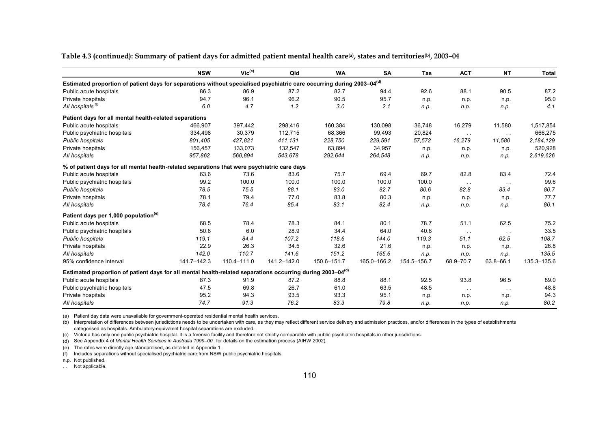**Table 4.3 (continued): Summary of patient days for admitted patient mental health care(a), states and territories(b), 2003–04** 

|                                                                                                                                   | <b>NSW</b>  | $Vic^{(c)}$ | Qld         | <b>WA</b>   | <b>SA</b>   | Tas         | <b>ACT</b>    | <b>NT</b>     | <b>Total</b> |
|-----------------------------------------------------------------------------------------------------------------------------------|-------------|-------------|-------------|-------------|-------------|-------------|---------------|---------------|--------------|
| Estimated proportion of patient days for separations without specialised psychiatric care occurring during 2003-04 <sup>(d)</sup> |             |             |             |             |             |             |               |               |              |
| Public acute hospitals                                                                                                            | 86.3        | 86.9        | 87.2        | 82.7        | 94.4        | 92.6        | 88.1          | 90.5          | 87.2         |
| Private hospitals                                                                                                                 | 94.7        | 96.1        | 96.2        | 90.5        | 95.7        | n.p.        | n.p.          | n.p.          | 95.0         |
| All hospitals <sup>(1)</sup>                                                                                                      | 6.0         | 4.7         | 1.2         | 3.0         | 2.1         | n.p.        | n.p.          | n.p.          | 4.1          |
| Patient days for all mental health-related separations                                                                            |             |             |             |             |             |             |               |               |              |
| Public acute hospitals                                                                                                            | 466.907     | 397,442     | 298,416     | 160,384     | 130,098     | 36,748      | 16,279        | 11,580        | 1,517,854    |
| Public psychiatric hospitals                                                                                                      | 334,498     | 30,379      | 112,715     | 68,366      | 99,493      | 20,824      | $\sim$ $\sim$ | $\sim$ $\sim$ | 666,275      |
| Public hospitals                                                                                                                  | 801,405     | 427,821     | 411,131     | 228,750     | 229,591     | 57,572      | 16,279        | 11,580        | 2,184,129    |
| Private hospitals                                                                                                                 | 156,457     | 133,073     | 132,547     | 63,894      | 34,957      | n.p.        | n.p.          | n.p.          | 520,928      |
| All hospitals                                                                                                                     | 957,862     | 560.894     | 543,678     | 292,644     | 264,548     | n.p.        | n.p.          | n.p.          | 2,619,626    |
| % of patient days for all mental health-related separations that were psychiatric care days                                       |             |             |             |             |             |             |               |               |              |
| Public acute hospitals                                                                                                            | 63.6        | 73.6        | 83.6        | 75.7        | 69.4        | 69.7        | 82.8          | 83.4          | 72.4         |
| Public psychiatric hospitals                                                                                                      | 99.2        | 100.0       | 100.0       | 100.0       | 100.0       | 100.0       | $\sim$ $\sim$ | $\sim$ $\sim$ | 99.6         |
| Public hospitals                                                                                                                  | 78.5        | 75.5        | 88.1        | 83.0        | 82.7        | 80.6        | 82.8          | 83.4          | 80.7         |
| Private hospitals                                                                                                                 | 78.1        | 79.4        | 77.0        | 83.8        | 80.3        | n.p.        | n.p.          | n.p.          | 77.7         |
| All hospitals                                                                                                                     | 78.4        | 76.4        | 85.4        | 83.1        | 82.4        | n.p.        | n.p.          | n.p.          | 80.1         |
| Patient days per 1,000 population <sup>(e)</sup>                                                                                  |             |             |             |             |             |             |               |               |              |
| Public acute hospitals                                                                                                            | 68.5        | 78.4        | 78.3        | 84.1        | 80.1        | 78.7        | 51.1          | 62.5          | 75.2         |
| Public psychiatric hospitals                                                                                                      | 50.6        | 6.0         | 28.9        | 34.4        | 64.0        | 40.6        | $\sim$ $\sim$ | $\sim$ $\sim$ | 33.5         |
| Public hospitals                                                                                                                  | 119.1       | 84.4        | 107.2       | 118.6       | 144.0       | 119.3       | 51.1          | 62.5          | 108.7        |
| Private hospitals                                                                                                                 | 22.9        | 26.3        | 34.5        | 32.6        | 21.6        | n.p.        | n.p.          | n.p.          | 26.8         |
| All hospitals                                                                                                                     | 142.0       | 110.7       | 141.6       | 151.2       | 165.6       | n.p.        | n.p.          | n.p.          | 135.5        |
| 95% confidence interval                                                                                                           | 141.7-142.3 | 110.4-111.0 | 141.2-142.0 | 150.6-151.7 | 165.0-166.2 | 154.5-156.7 | 68.9-70.7     | 63.8-66.1     | 135.3-135.6  |
| Estimated proportion of patient days for all mental health-related separations occurring during 2003-04 <sup>(d)</sup>            |             |             |             |             |             |             |               |               |              |
| Public acute hospitals                                                                                                            | 87.3        | 91.9        | 87.2        | 88.8        | 88.1        | 92.5        | 93.8          | 96.5          | 89.0         |
| Public psychiatric hospitals                                                                                                      | 47.5        | 69.8        | 26.7        | 61.0        | 63.5        | 48.5        | $\sim$ $\sim$ | $\sim$ $\sim$ | 48.8         |
| Private hospitals                                                                                                                 | 95.2        | 94.3        | 93.5        | 93.3        | 95.1        | n.p.        | n.p.          | n.p.          | 94.3         |
| All hospitals                                                                                                                     | 74.7        | 91.3        | 76.2        | 83.3        | 79.8        | n.p.        | n.p.          | n.p.          | 80.2         |

(a) Patient day data were unavailable for government-operated residential mental health services.

(b) Interpretation of differences between jurisdictions needs to be undertaken with care, as they may reflect different service delivery and admission practices, and/or differences in the types of establishments categorised as hospitals. Ambulatory-equivalent hospital separations are excluded.

(c) Victoria has only one public psychiatric hospital. It is a forensic facility and therefore not strictly comparable with public psychiatric hospitals in other jurisdictions.

(d) See Appendix 4 of *Mental Health Services in Australia 1999–00* for details on the estimation process (AIHW 2002).

(e) The rates were directly age standardised, as detailed in Appendix 1.

(f) Includes separations without specialised psychiatric care from NSW public psychiatric hospitals.

n.p. Not published.

. . Not applicable.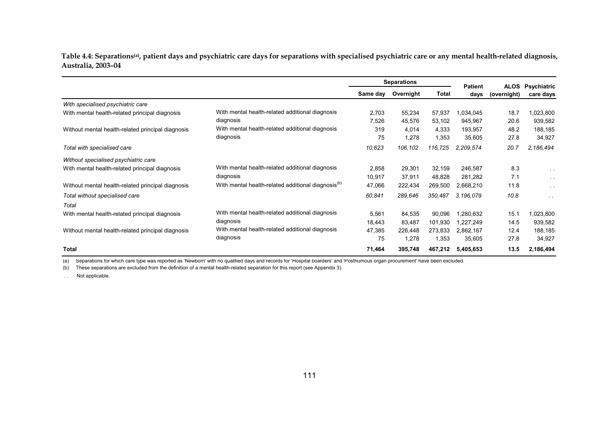Table 4.4: Separations<sup>(a)</sup>, patient days and psychiatric care days for separations with specialised psychiatric care or any mental health-related diagnosis, **Australia, 2003–04** 

|                                                   |                                                                |          | <b>Separations</b> |         | <b>Patient</b> |                            |                                 |
|---------------------------------------------------|----------------------------------------------------------------|----------|--------------------|---------|----------------|----------------------------|---------------------------------|
|                                                   |                                                                | Same day | Overnight          | Total   | days           | <b>ALOS</b><br>(overnight) | <b>Psychiatric</b><br>care days |
| With specialised psychiatric care                 |                                                                |          |                    |         |                |                            |                                 |
| With mental health-related principal diagnosis    | With mental health-related additional diagnosis                | 2,703    | 55,234             | 57,937  | 1,034,045      | 18.7                       | 1,023,800                       |
|                                                   | diagnosis                                                      | 7,526    | 45,576             | 53,102  | 945,967        | 20.6                       | 939,582                         |
| Without mental health-related principal diagnosis | With mental health-related additional diagnosis                | 319      | 4,014              | 4,333   | 193,957        | 48.2                       | 188,185                         |
|                                                   | diagnosis                                                      | 75       | 1,278              | 1,353   | 35,605         | 27.8                       | 34,927                          |
| Total with specialised care                       |                                                                | 10,623   | 106,102            | 116,725 | 2,209,574      | 20.7                       | 2,186,494                       |
| Without specialised psychiatric care              |                                                                |          |                    |         |                |                            |                                 |
| With mental health-related principal diagnosis    | With mental health-related additional diagnosis                | 2,858    | 29,301             | 32,159  | 246,587        | 8.3                        | $\sim$ 10 $\pm$                 |
|                                                   | diagnosis                                                      | 10,917   | 37,911             | 48,828  | 281,282        | 7.1                        | $\sim$ 100 $\pm$                |
| Without mental health-related principal diagnosis | With mental health-related additional diagnosis <sup>(b)</sup> | 47,066   | 222,434            | 269,500 | 2,668,210      | 11.8                       | $\sim$ $\sim$                   |
| Total without specialised care                    |                                                                | 60,841   | 289,646            | 350,487 | 3.196.079      | 10.8                       | $\sim$ $\sim$                   |
| Total                                             |                                                                |          |                    |         |                |                            |                                 |
| With mental health-related principal diagnosis    | With mental health-related additional diagnosis                | 5,561    | 84,535             | 90,096  | 1,280,632      | 15.1                       | 1,023,800                       |
|                                                   | diagnosis                                                      | 18,443   | 83,487             | 101,930 | 1,227,249      | 14.5                       | 939,582                         |
| Without mental health-related principal diagnosis | With mental health-related additional diagnosis                | 47,385   | 226,448            | 273,833 | 2,862,167      | 12.4                       | 188,185                         |
|                                                   | diagnosis                                                      | 75       | 1,278              | 1,353   | 35,605         | 27.8                       | 34,927                          |
| <b>Total</b>                                      |                                                                | 71,464   | 395,748            | 467,212 | 5,405,653      | 13.5                       | 2,186,494                       |

(a) Separations for which care type was reported as 'Newborn' with no qualified days and records for 'Hospital boarders' and 'Posthumous organ procurement' have been excluded.

(b) These separations are excluded from the definition of a mental health-related separation for this report (see Appendix 3).

. . Not applicable.